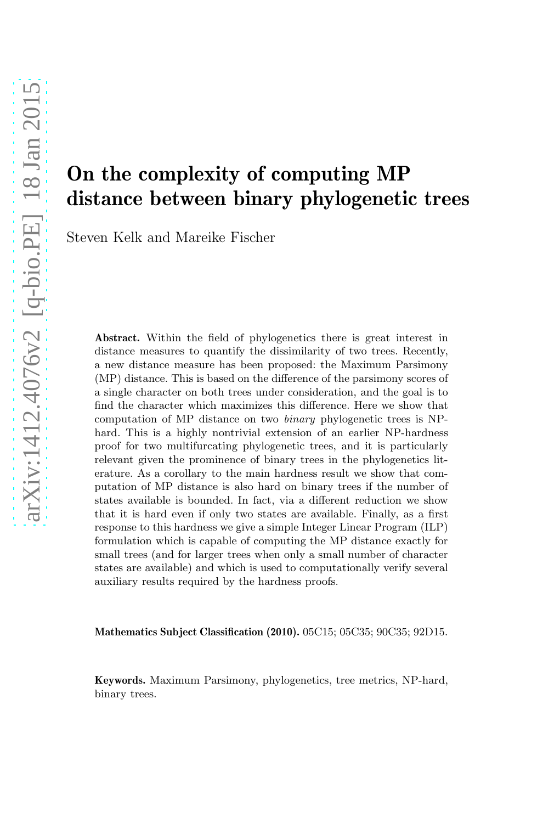# On the complexity of computing MP distance between binary phylogenetic trees

Steven Kelk and Mareike Fischer

Abstract. Within the field of phylogenetics there is great interest in distance measures to quantify the dissimilarity of two trees. Recently, a new distance measure has been proposed: the Maximum Parsimony (MP) distance. This is based on the difference of the parsimony scores of a single character on both trees under consideration, and the goal is to find the character which maximizes this difference. Here we show that computation of MP distance on two binary phylogenetic trees is NPhard. This is a highly nontrivial extension of an earlier NP-hardness proof for two multifurcating phylogenetic trees, and it is particularly relevant given the prominence of binary trees in the phylogenetics literature. As a corollary to the main hardness result we show that computation of MP distance is also hard on binary trees if the number of states available is bounded. In fact, via a different reduction we show that it is hard even if only two states are available. Finally, as a first response to this hardness we give a simple Integer Linear Program (ILP) formulation which is capable of computing the MP distance exactly for small trees (and for larger trees when only a small number of character states are available) and which is used to computationally verify several auxiliary results required by the hardness proofs.

Mathematics Subject Classification (2010). 05C15; 05C35; 90C35; 92D15.

Keywords. Maximum Parsimony, phylogenetics, tree metrics, NP-hard, binary trees.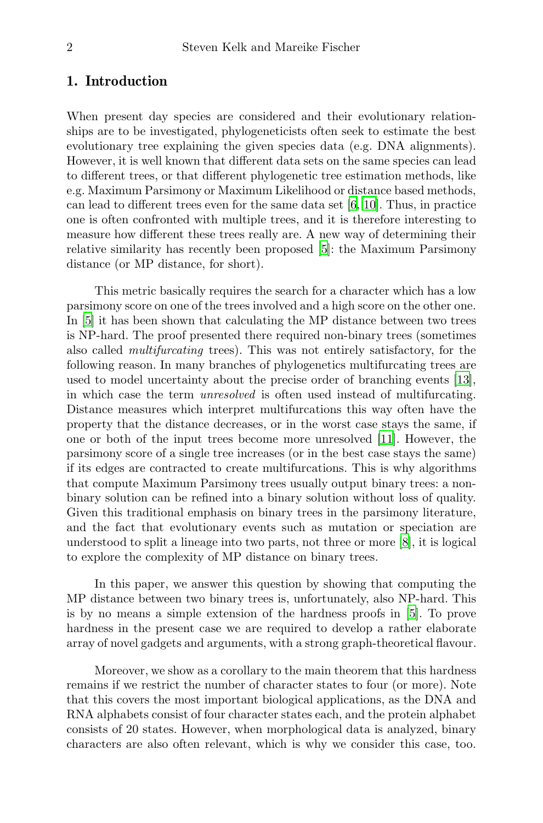#### 1. Introduction

When present day species are considered and their evolutionary relationships are to be investigated, phylogeneticists often seek to estimate the best evolutionary tree explaining the given species data (e.g. DNA alignments). However, it is well known that different data sets on the same species can lead to different trees, or that different phylogenetic tree estimation methods, like e.g. Maximum Parsimony or Maximum Likelihood or distance based methods, can lead to different trees even for the same data set  $[6, 10]$  $[6, 10]$  $[6, 10]$ . Thus, in practice one is often confronted with multiple trees, and it is therefore interesting to measure how different these trees really are. A new way of determining their relative similarity has recently been proposed [\[5](#page-35-1)]: the Maximum Parsimony distance (or MP distance, for short).

This metric basically requires the search for a character which has a low parsimony score on one of the trees involved and a high score on the other one. In [\[5\]](#page-35-1) it has been shown that calculating the MP distance between two trees is NP-hard. The proof presented there required non-binary trees (sometimes also called multifurcating trees). This was not entirely satisfactory, for the following reason. In many branches of phylogenetics multifurcating trees are used to model uncertainty about the precise order of branching events [\[13\]](#page-36-1), in which case the term unresolved is often used instead of multifurcating. Distance measures which interpret multifurcations this way often have the property that the distance decreases, or in the worst case stays the same, if one or both of the input trees become more unresolved [\[11](#page-36-2)]. However, the parsimony score of a single tree increases (or in the best case stays the same) if its edges are contracted to create multifurcations. This is why algorithms that compute Maximum Parsimony trees usually output binary trees: a nonbinary solution can be refined into a binary solution without loss of quality. Given this traditional emphasis on binary trees in the parsimony literature, and the fact that evolutionary events such as mutation or speciation are understood to split a lineage into two parts, not three or more [\[8\]](#page-36-3), it is logical to explore the complexity of MP distance on binary trees.

In this paper, we answer this question by showing that computing the MP distance between two binary trees is, unfortunately, also NP-hard. This is by no means a simple extension of the hardness proofs in [\[5](#page-35-1)]. To prove hardness in the present case we are required to develop a rather elaborate array of novel gadgets and arguments, with a strong graph-theoretical flavour.

Moreover, we show as a corollary to the main theorem that this hardness remains if we restrict the number of character states to four (or more). Note that this covers the most important biological applications, as the DNA and RNA alphabets consist of four character states each, and the protein alphabet consists of 20 states. However, when morphological data is analyzed, binary characters are also often relevant, which is why we consider this case, too.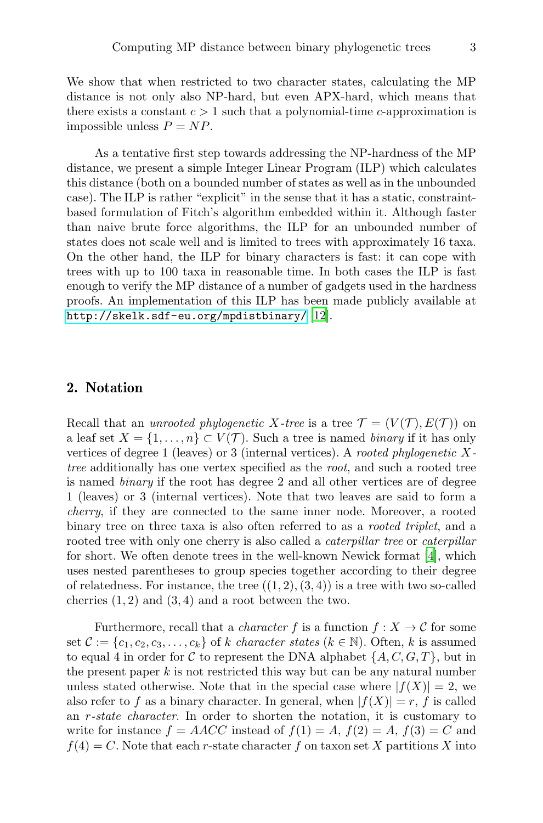We show that when restricted to two character states, calculating the MP distance is not only also NP-hard, but even APX-hard, which means that there exists a constant  $c > 1$  such that a polynomial-time c-approximation is impossible unless  $P = NP$ .

As a tentative first step towards addressing the NP-hardness of the MP distance, we present a simple Integer Linear Program (ILP) which calculates this distance (both on a bounded number of states as well as in the unbounded case). The ILP is rather "explicit" in the sense that it has a static, constraintbased formulation of Fitch's algorithm embedded within it. Although faster than naive brute force algorithms, the ILP for an unbounded number of states does not scale well and is limited to trees with approximately 16 taxa. On the other hand, the ILP for binary characters is fast: it can cope with trees with up to 100 taxa in reasonable time. In both cases the ILP is fast enough to verify the MP distance of a number of gadgets used in the hardness proofs. An implementation of this ILP has been made publicly available at <http://skelk.sdf-eu.org/mpdistbinary/> [\[12\]](#page-36-4).

#### 2. Notation

Recall that an *unrooted phylogenetic X-tree* is a tree  $\mathcal{T} = (V(\mathcal{T}), E(\mathcal{T}))$  on a leaf set  $X = \{1, \ldots, n\} \subset V(\mathcal{T})$ . Such a tree is named *binary* if it has only vertices of degree 1 (leaves) or 3 (internal vertices). A *rooted phylogenetic*  $X$ tree additionally has one vertex specified as the root, and such a rooted tree is named binary if the root has degree 2 and all other vertices are of degree 1 (leaves) or 3 (internal vertices). Note that two leaves are said to form a cherry, if they are connected to the same inner node. Moreover, a rooted binary tree on three taxa is also often referred to as a *rooted triplet*, and a rooted tree with only one cherry is also called a *caterpillar tree* or *caterpillar* for short. We often denote trees in the well-known Newick format [\[4](#page-35-2)], which uses nested parentheses to group species together according to their degree of relatedness. For instance, the tree  $((1, 2), (3, 4))$  is a tree with two so-called cherries  $(1, 2)$  and  $(3, 4)$  and a root between the two.

Furthermore, recall that a *character* f is a function  $f: X \to \mathcal{C}$  for some set  $\mathcal{C} := \{c_1, c_2, c_3, \ldots, c_k\}$  of k character states  $(k \in \mathbb{N})$ . Often, k is assumed to equal 4 in order for C to represent the DNA alphabet  $\{A, C, G, T\}$ , but in the present paper  $k$  is not restricted this way but can be any natural number unless stated otherwise. Note that in the special case where  $|f(X)| = 2$ , we also refer to f as a binary character. In general, when  $|f(X)| = r$ , f is called an r-state character. In order to shorten the notation, it is customary to write for instance  $f = AACC$  instead of  $f(1) = A$ ,  $f(2) = A$ ,  $f(3) = C$  and  $f(4) = C$ . Note that each r-state character f on taxon set X partitions X into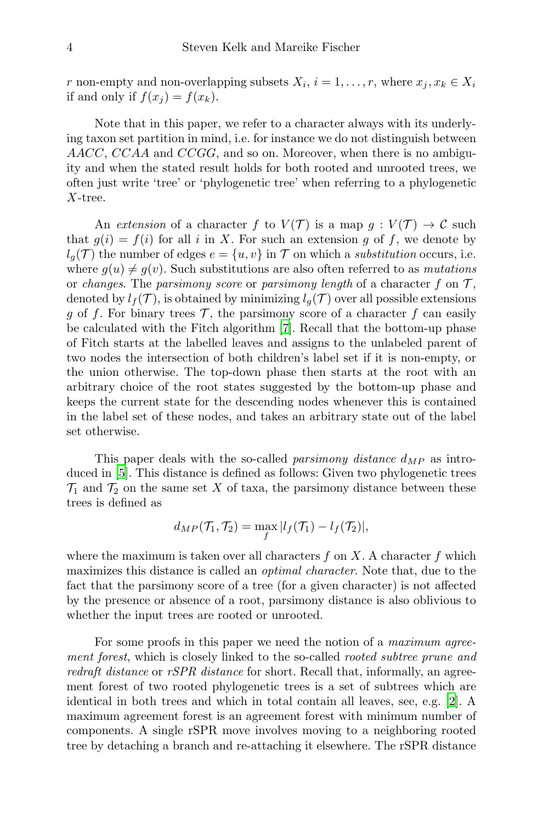r non-empty and non-overlapping subsets  $X_i$ ,  $i = 1, ..., r$ , where  $x_j, x_k \in X_i$ if and only if  $f(x_i) = f(x_k)$ .

Note that in this paper, we refer to a character always with its underlying taxon set partition in mind, i.e. for instance we do not distinguish between AACC, CCAA and CCGG, and so on. Moreover, when there is no ambiguity and when the stated result holds for both rooted and unrooted trees, we often just write 'tree' or 'phylogenetic tree' when referring to a phylogenetic X-tree.

An extension of a character f to  $V(\mathcal{T})$  is a map  $g: V(\mathcal{T}) \to \mathcal{C}$  such that  $g(i) = f(i)$  for all i in X. For such an extension g of f, we denote by  $l_q(\mathcal{T})$  the number of edges  $e = \{u, v\}$  in  $\mathcal T$  on which a *substitution* occurs, i.e. where  $g(u) \neq g(v)$ . Such substitutions are also often referred to as *mutations* or changes. The parsimony score or parsimony length of a character f on  $\mathcal{T}$ , denoted by  $l_f(\mathcal{T})$ , is obtained by minimizing  $l_g(\mathcal{T})$  over all possible extensions g of f. For binary trees  $\mathcal{T}$ , the parsimony score of a character f can easily be calculated with the Fitch algorithm [\[7\]](#page-35-3). Recall that the bottom-up phase of Fitch starts at the labelled leaves and assigns to the unlabeled parent of two nodes the intersection of both children's label set if it is non-empty, or the union otherwise. The top-down phase then starts at the root with an arbitrary choice of the root states suggested by the bottom-up phase and keeps the current state for the descending nodes whenever this is contained in the label set of these nodes, and takes an arbitrary state out of the label set otherwise.

This paper deals with the so-called *parsimony distance*  $d_{MP}$  as introduced in [\[5](#page-35-1)]. This distance is defined as follows: Given two phylogenetic trees  $\mathcal{T}_1$  and  $\mathcal{T}_2$  on the same set X of taxa, the parsimony distance between these trees is defined as

$$
d_{MP}(\mathcal{T}_1, \mathcal{T}_2) = \max_f |l_f(\mathcal{T}_1) - l_f(\mathcal{T}_2)|,
$$

where the maximum is taken over all characters  $f$  on  $X$ . A character  $f$  which maximizes this distance is called an optimal character. Note that, due to the fact that the parsimony score of a tree (for a given character) is not affected by the presence or absence of a root, parsimony distance is also oblivious to whether the input trees are rooted or unrooted.

For some proofs in this paper we need the notion of a *maximum agree*ment forest, which is closely linked to the so-called rooted subtree prune and redraft distance or rSPR distance for short. Recall that, informally, an agreement forest of two rooted phylogenetic trees is a set of subtrees which are identical in both trees and which in total contain all leaves, see, e.g. [\[2\]](#page-35-4). A maximum agreement forest is an agreement forest with minimum number of components. A single rSPR move involves moving to a neighboring rooted tree by detaching a branch and re-attaching it elsewhere. The rSPR distance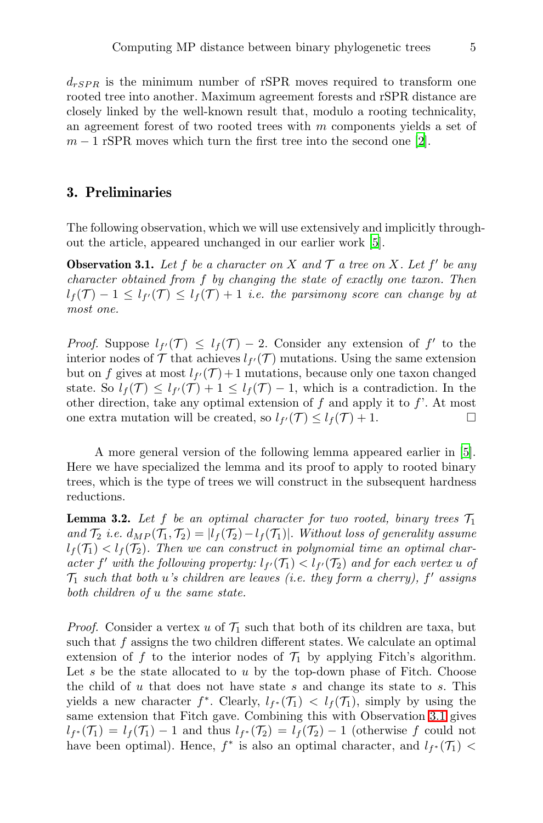$d_{rSPR}$  is the minimum number of rSPR moves required to transform one rooted tree into another. Maximum agreement forests and rSPR distance are closely linked by the well-known result that, modulo a rooting technicality, an agreement forest of two rooted trees with  $m$  components yields a set of  $m-1$  rSPR moves which turn the first tree into the second one [\[2\]](#page-35-4).

#### 3. Preliminaries

The following observation, which we will use extensively and implicitly throughout the article, appeared unchanged in our earlier work [\[5](#page-35-1)].

<span id="page-4-0"></span>**Observation 3.1.** Let f be a character on X and  $\mathcal{T}$  a tree on X. Let f' be any character obtained from f by changing the state of exactly one taxon. Then  $l_f(\mathcal{T}) - 1 \leq l_{f'}(\mathcal{T}) \leq l_f(\mathcal{T}) + 1$  i.e. the parsimony score can change by at most one.

*Proof.* Suppose  $l_{f'}(\mathcal{T}) \leq l_f(\mathcal{T}) - 2$ . Consider any extension of f' to the interior nodes of  $\mathcal T$  that achieves  $l_{f'}(\mathcal T)$  mutations. Using the same extension but on f gives at most  $l_{f'}(\mathcal{T})+1$  mutations, because only one taxon changed state. So  $l_f(\mathcal{T}) \leq l_{f'}(\mathcal{T}) + 1 \leq l_f(\mathcal{T}) - 1$ , which is a contradiction. In the other direction, take any optimal extension of  $f$  and apply it to  $f'$ . At most one extra mutation will be created, so  $l_{f'}(\mathcal{T}) \leq l_f(\mathcal{T}) + 1$ .

A more general version of the following lemma appeared earlier in [\[5\]](#page-35-1). Here we have specialized the lemma and its proof to apply to rooted binary trees, which is the type of trees we will construct in the subsequent hardness reductions.

<span id="page-4-1"></span>**Lemma 3.2.** Let f be an optimal character for two rooted, binary trees  $\mathcal{T}_1$ and  $\mathcal{T}_2$  i.e.  $d_{MP}(\mathcal{T}_1, \mathcal{T}_2) = |l_f(\mathcal{T}_2) - l_f(\mathcal{T}_1)|$ . Without loss of generality assume  $l_f(\mathcal{T}_1) < l_f(\mathcal{T}_2)$ . Then we can construct in polynomial time an optimal character f' with the following property:  $l_{f'}(\mathcal{T}_1) < l_{f'}(\mathcal{T}_2)$  and for each vertex u of  $\mathcal{T}_1$  such that both u's children are leaves (i.e. they form a cherry),  $f'$  assigns both children of u the same state.

*Proof.* Consider a vertex u of  $\mathcal{T}_1$  such that both of its children are taxa, but such that  $f$  assigns the two children different states. We calculate an optimal extension of f to the interior nodes of  $\mathcal{T}_1$  by applying Fitch's algorithm. Let s be the state allocated to u by the top-down phase of Fitch. Choose the child of  $u$  that does not have state  $s$  and change its state to  $s$ . This yields a new character  $f^*$ . Clearly,  $l_{f^*}(\mathcal{T}_1) < l_f(\mathcal{T}_1)$ , simply by using the same extension that Fitch gave. Combining this with Observation [3.1](#page-4-0) gives  $l_{f^*}(\mathcal{T}_1) = l_f(\mathcal{T}_1) - 1$  and thus  $l_{f^*}(\mathcal{T}_2) = l_f(\mathcal{T}_2) - 1$  (otherwise f could not have been optimal). Hence,  $f^*$  is also an optimal character, and  $l_{f^*}(\mathcal{T}_1)$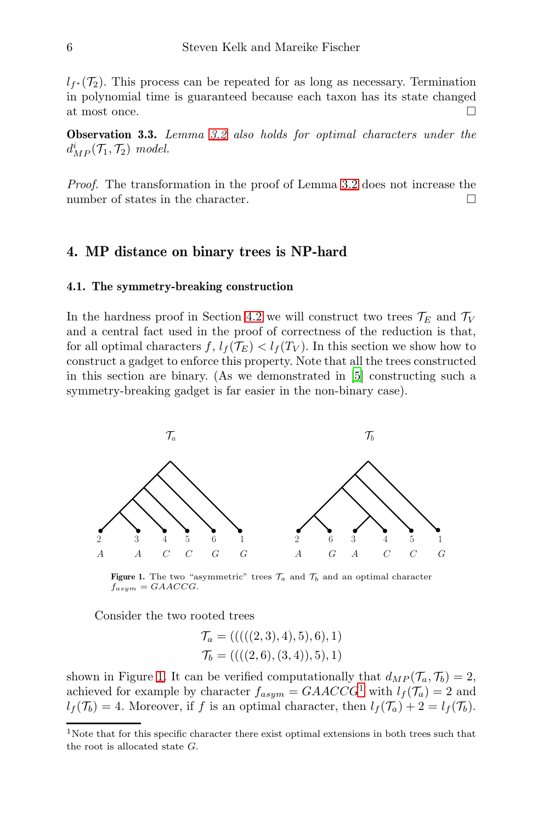$l_{f^*}(\mathcal{T}_2)$ . This process can be repeated for as long as necessary. Termination in polynomial time is guaranteed because each taxon has its state changed at most once.  $\hfill \square$ 

Observation 3.3. Lemma [3.2](#page-4-1) also holds for optimal characters under the  $d_{MP}^i(\mathcal{T}_1, \mathcal{T}_2)$  model.

Proof. The transformation in the proof of Lemma [3.2](#page-4-1) does not increase the number of states in the character.

#### <span id="page-5-2"></span>4. MP distance on binary trees is NP-hard

#### 4.1. The symmetry-breaking construction

In the hardness proof in Section [4.2](#page-8-0) we will construct two trees  $\mathcal{T}_E$  and  $\mathcal{T}_V$ and a central fact used in the proof of correctness of the reduction is that, for all optimal characters  $f, l_f(\mathcal{T}_E) < l_f(T_V)$ . In this section we show how to construct a gadget to enforce this property. Note that all the trees constructed in this section are binary. (As we demonstrated in [\[5\]](#page-35-1) constructing such a symmetry-breaking gadget is far easier in the non-binary case).

<span id="page-5-0"></span>

Figure 1. The two "asymmetric" trees  $\mathcal{T}_a$  and  $\mathcal{T}_b$  and an optimal character  $f_{asym} = GAACCG$ .

Consider the two rooted trees

$$
\mathcal{T}_a = (((((2,3),4),5),6),1)
$$
  

$$
\mathcal{T}_b = (((2,6),(3,4)),5),1)
$$

shown in Figure [1.](#page-5-0) It can be verified computationally that  $d_{MP}(\mathcal{T}_a, \mathcal{T}_b) = 2$ , achieved for example by character  $f_{asym} = GAACCG^1$  $f_{asym} = GAACCG^1$  with  $l_f(\mathcal{T}_a) = 2$  and  $l_f(\mathcal{T}_b) = 4$ . Moreover, if f is an optimal character, then  $l_f(\mathcal{T}_a) + 2 = l_f(\mathcal{T}_b)$ .

<span id="page-5-1"></span><sup>&</sup>lt;sup>1</sup>Note that for this specific character there exist optimal extensions in both trees such that the root is allocated state G.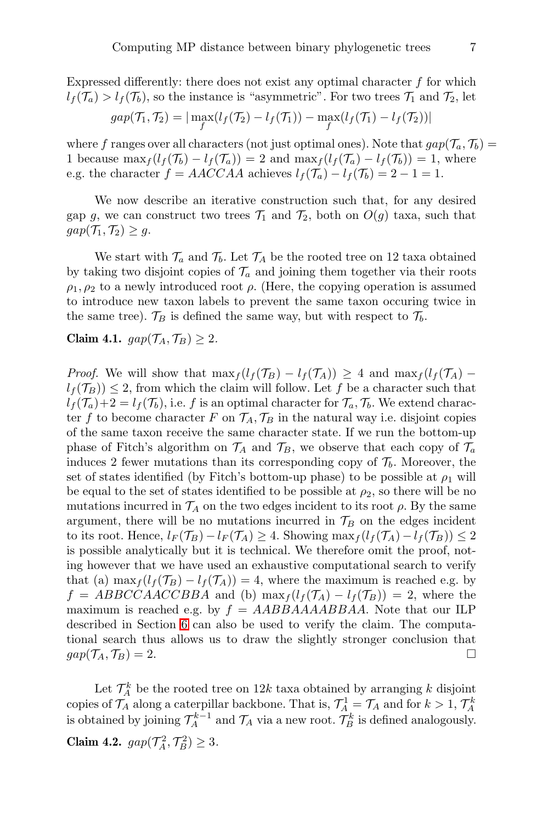Expressed differently: there does not exist any optimal character  $f$  for which  $l_f(\mathcal{T}_a) > l_f(\mathcal{T}_b)$ , so the instance is "asymmetric". For two trees  $\mathcal{T}_1$  and  $\mathcal{T}_2$ , let

$$
gap(\mathcal{T}_1, \mathcal{T}_2) = |\max_{f} (l_f(\mathcal{T}_2) - l_f(\mathcal{T}_1)) - \max_{f} (l_f(\mathcal{T}_1) - l_f(\mathcal{T}_2))|
$$

where f ranges over all characters (not just optimal ones). Note that  $gap(\mathcal{T}_a, \mathcal{T}_b) =$ 1 because  $\max_{f} (l_f(\mathcal{T}_b) - l_f(\mathcal{T}_a)) = 2$  and  $\max_{f} (l_f(\mathcal{T}_a) - l_f(\mathcal{T}_b)) = 1$ , where e.g. the character  $f = AACCAA$  achieves  $l_f(\mathcal{T}_a) - l_f(\mathcal{T}_b) = 2 - 1 = 1$ .

We now describe an iterative construction such that, for any desired gap g, we can construct two trees  $\mathcal{T}_1$  and  $\mathcal{T}_2$ , both on  $O(g)$  taxa, such that  $gap(\mathcal{T}_1, \mathcal{T}_2) \geq g.$ 

We start with  $\mathcal{T}_a$  and  $\mathcal{T}_b$ . Let  $\mathcal{T}_A$  be the rooted tree on 12 taxa obtained by taking two disjoint copies of  $\mathcal{T}_a$  and joining them together via their roots  $\rho_1, \rho_2$  to a newly introduced root  $\rho$ . (Here, the copying operation is assumed to introduce new taxon labels to prevent the same taxon occuring twice in the same tree).  $\mathcal{T}_B$  is defined the same way, but with respect to  $\mathcal{T}_b$ .

<span id="page-6-0"></span>Claim 4.1.  $gap(\mathcal{T}_A, \mathcal{T}_B) \geq 2$ .

*Proof.* We will show that  $\max_{f} (l_f(\mathcal{T}_B) - l_f(\mathcal{T}_A)) \geq 4$  and  $\max_{f} (l_f(\mathcal{T}_A) - l_f(\mathcal{T}_A))$  $l_f(\mathcal{T}_B)) \leq 2$ , from which the claim will follow. Let f be a character such that  $l_f(\mathcal{T}_a)+2=l_f(\mathcal{T}_b)$ , i.e. f is an optimal character for  $\mathcal{T}_a, \mathcal{T}_b$ . We extend character f to become character F on  $\mathcal{T}_A$ ,  $\mathcal{T}_B$  in the natural way i.e. disjoint copies of the same taxon receive the same character state. If we run the bottom-up phase of Fitch's algorithm on  $\mathcal{T}_A$  and  $\mathcal{T}_B$ , we observe that each copy of  $\mathcal{T}_a$ induces 2 fewer mutations than its corresponding copy of  $\mathcal{T}_b$ . Moreover, the set of states identified (by Fitch's bottom-up phase) to be possible at  $\rho_1$  will be equal to the set of states identified to be possible at  $\rho_2$ , so there will be no mutations incurred in  $\mathcal{T}_A$  on the two edges incident to its root  $\rho$ . By the same argument, there will be no mutations incurred in  $\mathcal{T}_B$  on the edges incident to its root. Hence,  $l_F(\mathcal{T}_B) - l_F(\mathcal{T}_A) \geq 4$ . Showing  $\max_f (l_f(\mathcal{T}_A) - l_f(\mathcal{T}_B)) \leq 2$ is possible analytically but it is technical. We therefore omit the proof, noting however that we have used an exhaustive computational search to verify that (a)  $\max_{f} (l_f(\mathcal{T}_B) - l_f(\mathcal{T}_A)) = 4$ , where the maximum is reached e.g. by  $f = ABBCCAACCBBA$  and (b)  $\max_f (l_f(\mathcal{T}_A) - l_f(\mathcal{T}_B)) = 2$ , where the maximum is reached e.g. by  $f = AABBAAAABBAA$ . Note that our ILP described in Section [6](#page-28-0) can also be used to verify the claim. The computational search thus allows us to draw the slightly stronger conclusion that  $gap(\mathcal{T}_A, \mathcal{T}_B) = 2.$ 

<span id="page-6-1"></span>Let  $\mathcal{T}_A^k$  be the rooted tree on 12k taxa obtained by arranging k disjoint copies of  $\mathcal{T}_A$  along a caterpillar backbone. That is,  $\mathcal{T}_A^1 = \mathcal{T}_A$  and for  $k > 1$ ,  $\mathcal{T}_A^k$ is obtained by joining  $\mathcal{T}_A^{k-1}$  and  $\mathcal{T}_A$  via a new root.  $\mathcal{T}_B^k$  is defined analogously. Claim 4.2.  $gap(\mathcal{T}_A^2, \mathcal{T}_B^2) \geq 3$ .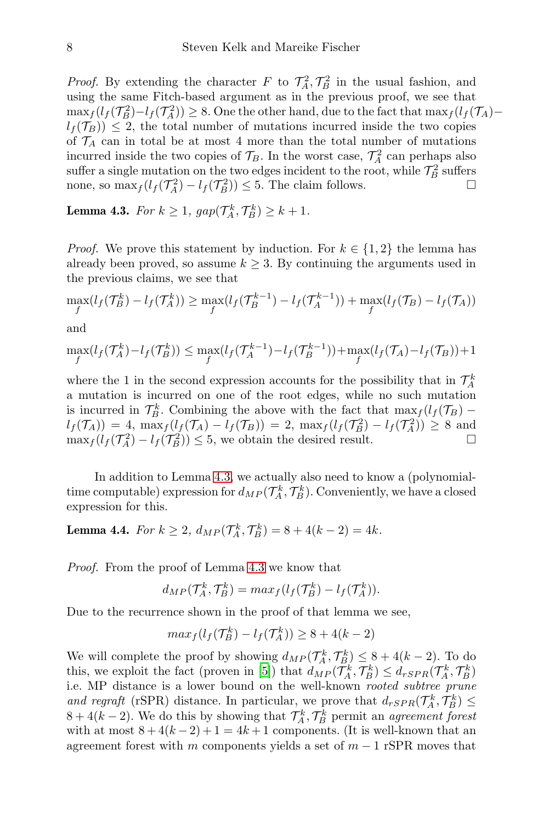*Proof.* By extending the character F to  $\mathcal{T}_A^2$ ,  $\mathcal{T}_B^2$  in the usual fashion, and using the same Fitch-based argument as in the previous proof, we see that  $\max_{f} (l_f(\mathcal{T}_B^2) - l_f(\mathcal{T}_A^2)) \geq 8.$  One the other hand, due to the fact that  $\max_{f} (l_f(\mathcal{T}_A)$  $l_f(\mathcal{T}_B) \leq 2$ , the total number of mutations incurred inside the two copies of  $\mathcal{T}_A$  can in total be at most 4 more than the total number of mutations incurred inside the two copies of  $\mathcal{T}_B$ . In the worst case,  $\mathcal{T}_A^2$  can perhaps also suffer a single mutation on the two edges incident to the root, while  $\mathcal{T}_B^2$  suffers none, so  $\max_{f}(l_f(\mathcal{T}_A^2) - l_f(\mathcal{T}_B^2)) \leq 5$ . The claim follows.

<span id="page-7-0"></span>**Lemma 4.3.** For  $k \geq 1$ ,  $gap(\mathcal{T}_A^k, \mathcal{T}_B^k) \geq k+1$ .

*Proof.* We prove this statement by induction. For  $k \in \{1,2\}$  the lemma has already been proved, so assume  $k \geq 3$ . By continuing the arguments used in the previous claims, we see that

$$
\max_{f} (l_f(\mathcal{T}_B^k) - l_f(\mathcal{T}_A^k)) \ge \max_{f} (l_f(\mathcal{T}_B^{k-1}) - l_f(\mathcal{T}_A^{k-1})) + \max_{f} (l_f(\mathcal{T}_B) - l_f(\mathcal{T}_A))
$$

and

$$
\max_{f} (l_f(\mathcal{T}_A^k) - l_f(\mathcal{T}_B^k)) \le \max_{f} (l_f(\mathcal{T}_A^{k-1}) - l_f(\mathcal{T}_B^{k-1})) + \max_{f} (l_f(\mathcal{T}_A) - l_f(\mathcal{T}_B)) + 1
$$

where the 1 in the second expression accounts for the possibility that in  $\mathcal{T}_A^k$ a mutation is incurred on one of the root edges, while no such mutation is incurred in  $\mathcal{T}_{B}^{k}$ . Combining the above with the fact that  $\max_{f}(l_{f}(\mathcal{T}_{B})$  $l_f(\mathcal{T}_A)) = 4$ ,  $\max_f (l_f(\mathcal{T}_A) - l_f(\mathcal{T}_B)) = 2$ ,  $\max_f (l_f(\mathcal{T}_B^2) - l_f(\mathcal{T}_A^2)) \geq 8$  and  $\max_f (l_f(\mathcal{T}_A^2) - l_f(\mathcal{T}_B^2)) \leq 5$ , we obtain the desired result.

In addition to Lemma [4.3,](#page-7-0) we actually also need to know a (polynomialtime computable) expression for  $d_{MP}(\mathcal{T}_A^k, \mathcal{T}_B^k)$ . Conveniently, we have a closed expression for this.

## <span id="page-7-1"></span>**Lemma 4.4.** For  $k \ge 2$ ,  $d_{MP}(\mathcal{T}_A^k, \mathcal{T}_B^k) = 8 + 4(k - 2) = 4k$ .

Proof. From the proof of Lemma [4.3](#page-7-0) we know that

$$
d_{MP}(\mathcal{T}_A^k, \mathcal{T}_B^k) = max_f(l_f(\mathcal{T}_B^k) - l_f(\mathcal{T}_A^k)).
$$

Due to the recurrence shown in the proof of that lemma we see,

$$
max_f(l_f(\mathcal{T}_B^k) - l_f(\mathcal{T}_A^k)) \ge 8 + 4(k - 2)
$$

We will complete the proof by showing  $d_{MP}(\mathcal{T}_A^k, \mathcal{T}_B^k) \leq 8 + 4(k-2)$ . To do this, we exploit the fact (proven in [\[5\]](#page-35-1)) that  $d_{MP}(\mathcal{T}_A^k, \mathcal{T}_B^k) \leq d_{rSPR}(\mathcal{T}_A^k, \mathcal{T}_B^k)$ i.e. MP distance is a lower bound on the well-known rooted subtree prune and regraft (rSPR) distance. In particular, we prove that  $d_{rSPR}(\mathcal{T}_A^k, \mathcal{T}_B^k) \leq$  $8 + 4(k - 2)$ . We do this by showing that  $\mathcal{T}_A^k, \mathcal{T}_B^k$  permit an agreement forest with at most  $8 + 4(k-2) + 1 = 4k+1$  components. (It is well-known that an agreement forest with m components yields a set of  $m-1$  rSPR moves that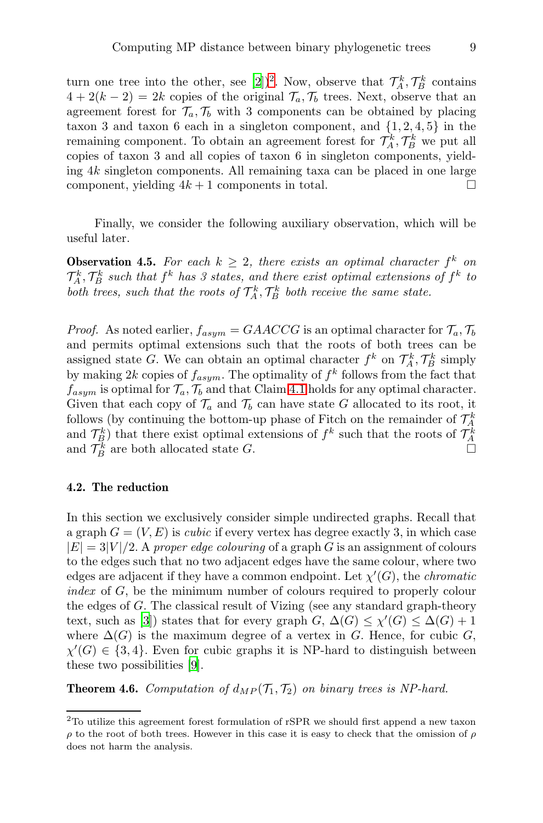turn one tree into the other, see [\[2](#page-35-4)])<sup>[2](#page-8-1)</sup>. Now, observe that  $\mathcal{T}_A^k, \mathcal{T}_B^k$  contains  $4 + 2(k - 2) = 2k$  copies of the original  $\mathcal{T}_a, \mathcal{T}_b$  trees. Next, observe that an agreement forest for  $\mathcal{T}_a, \mathcal{T}_b$  with 3 components can be obtained by placing taxon 3 and taxon 6 each in a singleton component, and  $\{1, 2, 4, 5\}$  in the remaining component. To obtain an agreement forest for  $\mathcal{T}_A^k, \mathcal{T}_B^k$  we put all copies of taxon 3 and all copies of taxon 6 in singleton components, yielding 4k singleton components. All remaining taxa can be placed in one large component, yielding  $4k + 1$  components in total.

Finally, we consider the following auxiliary observation, which will be useful later.

<span id="page-8-2"></span>**Observation 4.5.** For each  $k \geq 2$ , there exists an optimal character  $f^k$  on  $\mathcal{T}_A^k$ ,  $\mathcal{T}_B^k$  such that  $f^k$  has 3 states, and there exist optimal extensions of  $f^k$  to both trees, such that the roots of  $\mathcal{T}_A^k$ ,  $\mathcal{T}_B^k$  both receive the same state.

*Proof.* As noted earlier,  $f_{asym} = GAACCG$  is an optimal character for  $\mathcal{T}_a, \mathcal{T}_b$ and permits optimal extensions such that the roots of both trees can be assigned state G. We can obtain an optimal character  $f^k$  on  $\mathcal{T}_A^k$ ,  $\mathcal{T}_B^k$  simply by making 2k copies of  $f_{asym}$ . The optimality of  $f^k$  follows from the fact that  $f_{asym}$  is optimal for  $\mathcal{T}_a$ ,  $\mathcal{T}_b$  and that Claim [4.1](#page-6-0) holds for any optimal character. Given that each copy of  $\mathcal{T}_a$  and  $\mathcal{T}_b$  can have state G allocated to its root, it follows (by continuing the bottom-up phase of Fitch on the remainder of  $\mathcal{T}_A^k$ and  $\mathcal{T}_{B}^{k}$ ) that there exist optimal extensions of  $f^{k}$  such that the roots of  $\mathcal{T}_{A}^{k}$ and  $\mathcal{T}_B^k$  are both allocated state G.

#### <span id="page-8-0"></span>4.2. The reduction

In this section we exclusively consider simple undirected graphs. Recall that a graph  $G = (V, E)$  is *cubic* if every vertex has degree exactly 3, in which case  $|E| = 3|V|/2$ . A proper edge colouring of a graph G is an assignment of colours to the edges such that no two adjacent edges have the same colour, where two edges are adjacent if they have a common endpoint. Let  $\chi'(G)$ , the *chromatic* index of G, be the minimum number of colours required to properly colour the edges of G. The classical result of Vizing (see any standard graph-theory text, such as [\[3\]](#page-35-5)) states that for every graph  $G, \Delta(G) \leq \chi'(G) \leq \Delta(G) + 1$ where  $\Delta(G)$  is the maximum degree of a vertex in G. Hence, for cubic G,  $\chi'(G) \in \{3, 4\}$ . Even for cubic graphs it is NP-hard to distinguish between these two possibilities [\[9\]](#page-36-5).

<span id="page-8-3"></span>**Theorem 4.6.** Computation of  $d_{MP}(\mathcal{T}_1, \mathcal{T}_2)$  on binary trees is NP-hard.

<span id="page-8-1"></span><sup>2</sup>To utilize this agreement forest formulation of rSPR we should first append a new taxon ρ to the root of both trees. However in this case it is easy to check that the omission of ρ does not harm the analysis.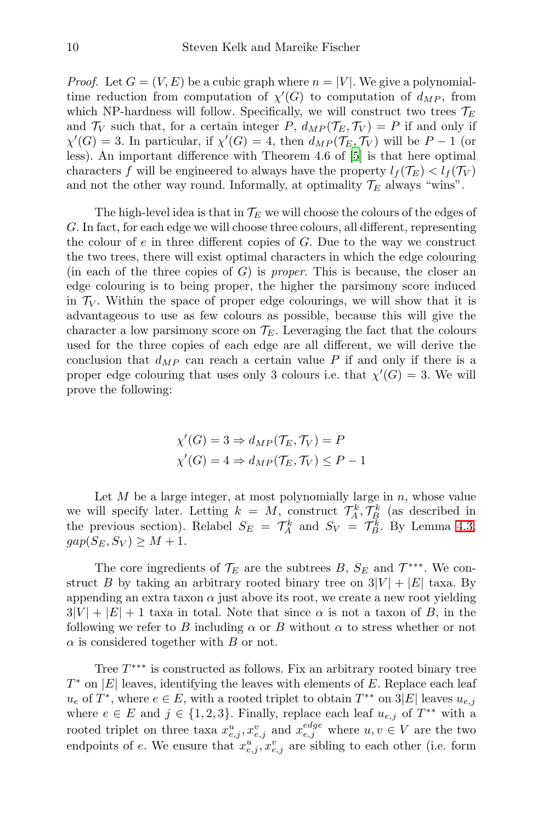*Proof.* Let  $G = (V, E)$  be a cubic graph where  $n = |V|$ . We give a polynomialtime reduction from computation of  $\chi'(G)$  to computation of  $d_{MP}$ , from which NP-hardness will follow. Specifically, we will construct two trees  $\mathcal{T}_E$ and  $\mathcal{T}_V$  such that, for a certain integer P,  $d_{MP}(\mathcal{T}_E, \mathcal{T}_V) = P$  if and only if  $\chi'(G) = 3$ . In particular, if  $\chi'(G) = 4$ , then  $d_{MP}(\mathcal{T}_E, \mathcal{T}_V)$  will be  $P-1$  (or less). An important difference with Theorem 4.6 of [\[5\]](#page-35-1) is that here optimal characters f will be engineered to always have the property  $l_f(\mathcal{T}_E) < l_f(\mathcal{T}_V)$ and not the other way round. Informally, at optimality  $\mathcal{T}_E$  always "wins".

The high-level idea is that in  $\mathcal{T}_E$  we will choose the colours of the edges of G. In fact, for each edge we will choose three colours, all different, representing the colour of  $e$  in three different copies of  $G$ . Due to the way we construct the two trees, there will exist optimal characters in which the edge colouring (in each of the three copies of  $G$ ) is *proper*. This is because, the closer an edge colouring is to being proper, the higher the parsimony score induced in  $\mathcal{T}_V$ . Within the space of proper edge colourings, we will show that it is advantageous to use as few colours as possible, because this will give the character a low parsimony score on  $\mathcal{T}_E$ . Leveraging the fact that the colours used for the three copies of each edge are all different, we will derive the conclusion that  $d_{MP}$  can reach a certain value P if and only if there is a proper edge colouring that uses only 3 colours i.e. that  $\chi'(G) = 3$ . We will prove the following:

$$
\chi'(G) = 3 \Rightarrow d_{MP}(\mathcal{T}_E, \mathcal{T}_V) = P
$$
  

$$
\chi'(G) = 4 \Rightarrow d_{MP}(\mathcal{T}_E, \mathcal{T}_V) \le P - 1
$$

Let  $M$  be a large integer, at most polynomially large in  $n$ , whose value we will specify later. Letting  $k = M$ , construct  $\mathcal{T}_A^k, \mathcal{T}_B^k$  (as described in the previous section). Relabel  $S_E = \mathcal{T}_A^k$  and  $S_V = \mathcal{T}_B^k$ . By Lemma [4.3,](#page-7-0)  $gap(S_E, S_V) \geq M + 1.$ 

The core ingredients of  $\mathcal{T}_E$  are the subtrees B,  $S_E$  and  $\mathcal{T}^{***}$ . We construct B by taking an arbitrary rooted binary tree on  $3|V| + |E|$  taxa. By appending an extra taxon  $\alpha$  just above its root, we create a new root yielding  $3|V| + |E| + 1$  taxa in total. Note that since  $\alpha$  is not a taxon of B, in the following we refer to B including  $\alpha$  or B without  $\alpha$  to stress whether or not  $\alpha$  is considered together with  $B$  or not.

Tree  $T^{***}$  is constructed as follows. Fix an arbitrary rooted binary tree  $T^*$  on  $|E|$  leaves, identifying the leaves with elements of E. Replace each leaf  $u_e$  of  $T^*$ , where  $e \in E$ , with a rooted triplet to obtain  $T^{**}$  on  $3|E|$  leaves  $u_{e,j}$ where  $e \in E$  and  $j \in \{1,2,3\}$ . Finally, replace each leaf  $u_{e,j}$  of  $T^{**}$  with a rooted triplet on three taxa  $x_{e,j}^u, x_{e,j}^v$  and  $x_{e,j}^{edge}$  where  $u, v \in V$  are the two endpoints of e. We ensure that  $x_{e,j}^u, x_{e,j}^v$  are sibling to each other (i.e. form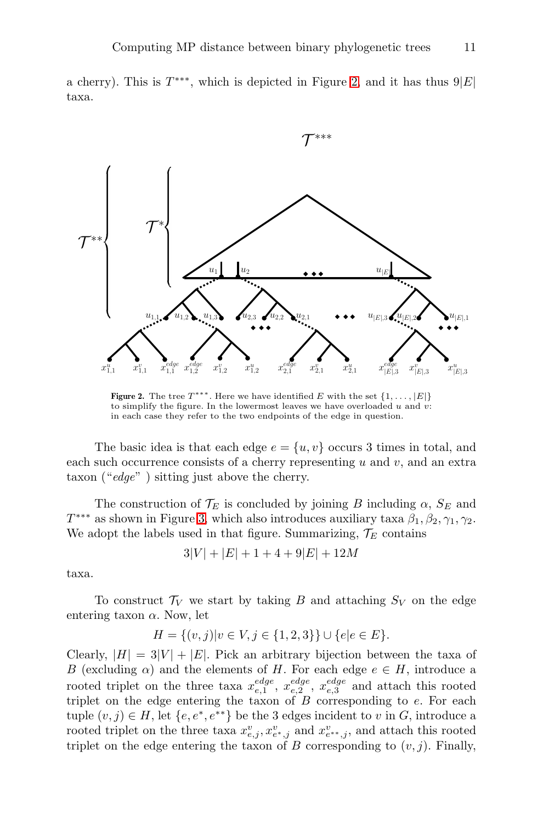<span id="page-10-0"></span>a cherry). This is  $T^{***}$ , which is depicted in Figure [2,](#page-10-0) and it has thus  $9|E|$ taxa.



**Figure 2.** The tree  $T^{***}$ . Here we have identified E with the set  $\{1,\ldots,|E|\}$ to simplify the figure. In the lowermost leaves we have overloaded  $u$  and  $v$ : in each case they refer to the two endpoints of the edge in question.

The basic idea is that each edge  $e = \{u, v\}$  occurs 3 times in total, and each such occurrence consists of a cherry representing u and v, and an extra taxon (" $edge"$ ) sitting just above the cherry.

The construction of  $\mathcal{T}_E$  is concluded by joining B including  $\alpha$ ,  $S_E$  and  $T^{***}$  as shown in Figure [3,](#page-11-0) which also introduces auxiliary taxa  $\beta_1, \beta_2, \gamma_1, \gamma_2$ . We adopt the labels used in that figure. Summarizing,  $\mathcal{T}_E$  contains

$$
3|V| + |E| + 1 + 4 + 9|E| + 12M
$$

taxa.

To construct  $\mathcal{T}_V$  we start by taking B and attaching  $S_V$  on the edge entering taxon  $\alpha$ . Now, let

$$
H = \{(v, j) | v \in V, j \in \{1, 2, 3\} \} \cup \{e | e \in E\}.
$$

Clearly,  $|H| = 3|V| + |E|$ . Pick an arbitrary bijection between the taxa of B (excluding  $\alpha$ ) and the elements of H. For each edge  $e \in H$ , introduce a rooted triplet on the three taxa  $x_{e,1}^{edge}$ ,  $x_{e,2}^{edge}$ ,  $x_{e,3}^{edge}$  and attach this rooted triplet on the edge entering the taxon of  $B$  corresponding to  $e$ . For each tuple  $(v, j) \in H$ , let  $\{e, e^*, e^{**}\}\$ be the 3 edges incident to v in G, introduce a rooted triplet on the three taxa  $x_{e,j}^v, x_{e*,j}^v$  and  $x_{e*,j}^v$ , and attach this rooted triplet on the edge entering the taxon of B corresponding to  $(v, j)$ . Finally,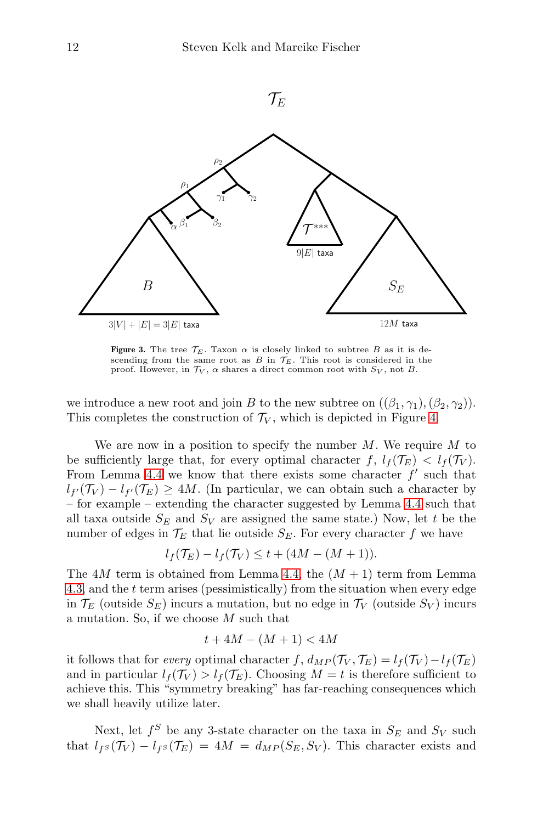<span id="page-11-0"></span>

Figure 3. The tree  $\mathcal{T}_E$ . Taxon  $\alpha$  is closely linked to subtree B as it is descending from the same root as B in  $\mathcal{T}_E$ . This root is considered in the proof. However, in  $\mathcal{T}_V$ ,  $\alpha$  shares a direct common root with  $S_V$ , not B.

we introduce a new root and join B to the new subtree on  $((\beta_1, \gamma_1),(\beta_2, \gamma_2)).$ This completes the construction of  $\mathcal{T}_V$ , which is depicted in Figure [4.](#page-12-0)

We are now in a position to specify the number  $M$ . We require  $M$  to be sufficiently large that, for every optimal character  $f, l_f(\mathcal{T}_E) < l_f(\mathcal{T}_V)$ . From Lemma [4.4](#page-7-1) we know that there exists some character  $f'$  such that  $l_{f'}(\mathcal{T}_V) - l_{f'}(\mathcal{T}_E) \ge 4M$ . (In particular, we can obtain such a character by – for example – extending the character suggested by Lemma [4.4](#page-7-1) such that all taxa outside  $S_E$  and  $S_V$  are assigned the same state.) Now, let t be the number of edges in  $\mathcal{T}_E$  that lie outside  $S_E$ . For every character f we have

$$
l_f(\mathcal{T}_E) - l_f(\mathcal{T}_V) \leq t + (4M - (M+1)).
$$

The 4M term is obtained from Lemma [4.4,](#page-7-1) the  $(M + 1)$  term from Lemma [4.3,](#page-7-0) and the t term arises (pessimistically) from the situation when every edge in  $\mathcal{T}_E$  (outside  $S_E$ ) incurs a mutation, but no edge in  $\mathcal{T}_V$  (outside  $S_V$ ) incurs a mutation. So, if we choose M such that

$$
t + 4M - (M+1) < 4M
$$

it follows that for every optimal character f,  $d_{MP}(\mathcal{T}_V, \mathcal{T}_E) = l_f(\mathcal{T}_V) - l_f(\mathcal{T}_E)$ and in particular  $l_f(\mathcal{T}_V) > l_f(\mathcal{T}_E)$ . Choosing  $M = t$  is therefore sufficient to achieve this. This "symmetry breaking" has far-reaching consequences which we shall heavily utilize later.

Next, let  $f^S$  be any 3-state character on the taxa in  $S_E$  and  $S_V$  such that  $l_{fs}(\mathcal{T}_V) - l_{fs}(\mathcal{T}_E) = 4M = d_{MP}(S_E, S_V)$ . This character exists and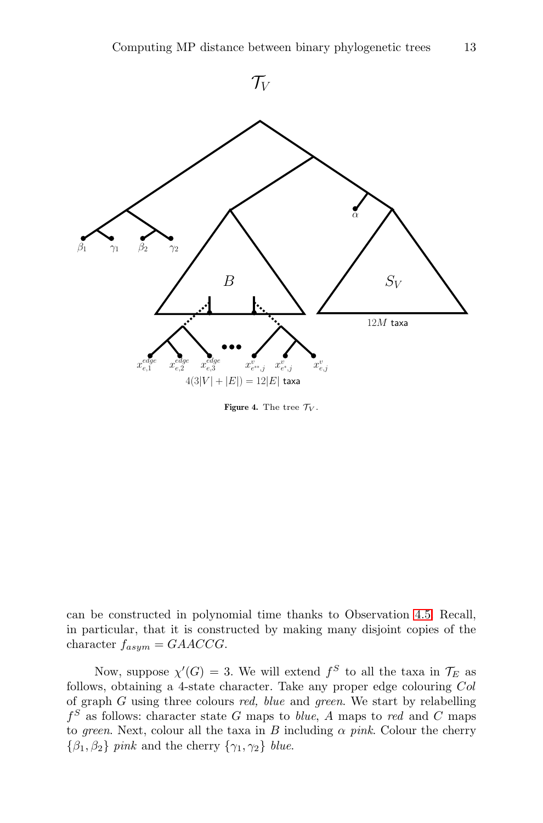<span id="page-12-0"></span>

Figure 4. The tree  $\mathcal{T}_V$ .

can be constructed in polynomial time thanks to Observation [4.5.](#page-8-2) Recall, in particular, that it is constructed by making many disjoint copies of the character  $f_{asym} = GAACCG$ .

Now, suppose  $\chi'(G) = 3$ . We will extend  $f^S$  to all the taxa in  $\mathcal{T}_E$  as follows, obtaining a 4-state character. Take any proper edge colouring Col of graph  $G$  using three colours  $red$ , blue and green. We start by relabelling  $f<sup>S</sup>$  as follows: character state G maps to *blue*, A maps to red and C maps to green. Next, colour all the taxa in B including  $\alpha$  pink. Colour the cherry  ${\lbrace \beta_1, \beta_2 \rbrace}$  pink and the cherry  ${\lbrace \gamma_1, \gamma_2 \rbrace}$  blue.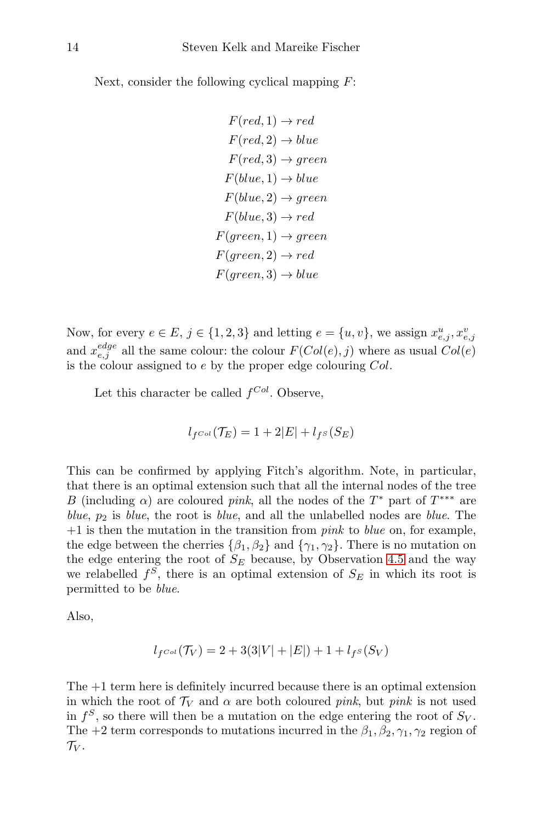Next, consider the following cyclical mapping  $F$ :

$$
F(\text{red}, 1) \rightarrow \text{red}
$$
\n
$$
F(\text{red}, 2) \rightarrow blue
$$
\n
$$
F(\text{red}, 3) \rightarrow \text{green}
$$
\n
$$
F(blue, 1) \rightarrow blue
$$
\n
$$
F(blue, 2) \rightarrow \text{green}
$$
\n
$$
F(blue, 3) \rightarrow \text{red}
$$
\n
$$
F(\text{green}, 1) \rightarrow \text{green}
$$
\n
$$
F(\text{green}, 2) \rightarrow \text{red}
$$
\n
$$
F(\text{green}, 3) \rightarrow blue
$$

Now, for every  $e \in E$ ,  $j \in \{1, 2, 3\}$  and letting  $e = \{u, v\}$ , we assign  $x_{e,j}^u, x_{e,j}^v$ and  $x_{e,j}^{edge}$  all the same colour: the colour  $F(Col(e), j)$  where as usual  $Col(e)$ is the colour assigned to  $e$  by the proper edge colouring  $Col$ .

Let this character be called  $f^{Col}$ . Observe,

$$
l_{f^{Col}}(\mathcal{T}_E) = 1 + 2|E| + l_{f^S}(S_E)
$$

This can be confirmed by applying Fitch's algorithm. Note, in particular, that there is an optimal extension such that all the internal nodes of the tree B (including  $\alpha$ ) are coloured pink, all the nodes of the T<sup>\*</sup> part of T<sup>\*\*\*</sup> are blue,  $p_2$  is blue, the root is blue, and all the unlabelled nodes are blue. The  $+1$  is then the mutation in the transition from *pink* to *blue* on, for example, the edge between the cherries  $\{\beta_1, \beta_2\}$  and  $\{\gamma_1, \gamma_2\}$ . There is no mutation on the edge entering the root of  $S_E$  because, by Observation [4.5](#page-8-2) and the way we relabelled  $f^S$ , there is an optimal extension of  $S_E$  in which its root is permitted to be blue.

Also,

$$
l_{f^{Col}}(\mathcal{T}_V) = 2 + 3(3|V| + |E|) + 1 + l_{f^S}(S_V)
$$

The +1 term here is definitely incurred because there is an optimal extension in which the root of  $\mathcal{T}_V$  and  $\alpha$  are both coloured pink, but pink is not used in  $f^S$ , so there will then be a mutation on the edge entering the root of  $S_V$ . The +2 term corresponds to mutations incurred in the  $\beta_1, \beta_2, \gamma_1, \gamma_2$  region of  $\mathcal{T}_V$ .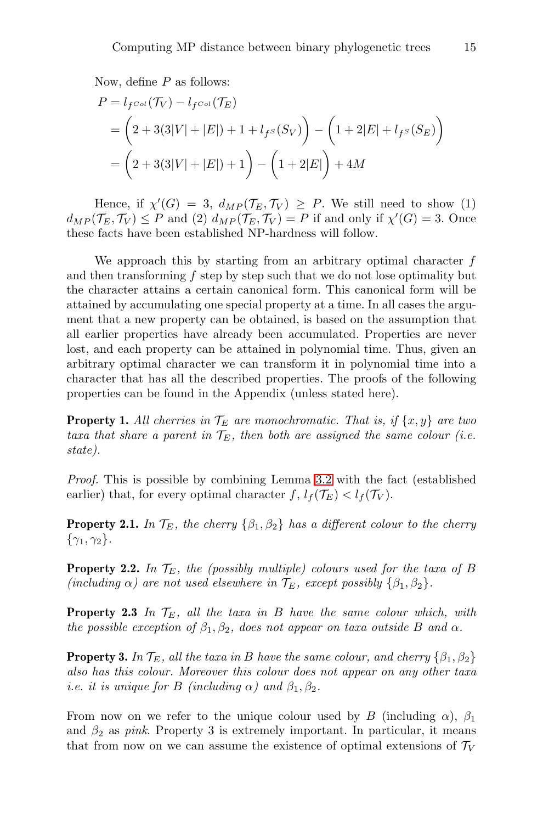Now, define  $P$  as follows:

$$
P = l_{f^{Col}}(\mathcal{T}_V) - l_{f^{Col}}(\mathcal{T}_E)
$$
  
=  $\left(2 + 3(3|V| + |E|) + 1 + l_{f^S}(S_V)\right) - \left(1 + 2|E| + l_{f^S}(S_E)\right)$   
=  $\left(2 + 3(3|V| + |E|) + 1\right) - \left(1 + 2|E|\right) + 4M$ 

Hence, if  $\chi'(G) = 3$ ,  $d_{MP}(\mathcal{T}_E, \mathcal{T}_V) \geq P$ . We still need to show (1)  $d_{MP}(\mathcal{T}_E, \mathcal{T}_V) \leq P$  and (2)  $d_{MP}(\mathcal{T}_E, \mathcal{T}_V) = P$  if and only if  $\chi'(G) = 3$ . Once these facts have been established NP-hardness will follow.

We approach this by starting from an arbitrary optimal character  $f$ and then transforming  $f$  step by step such that we do not lose optimality but the character attains a certain canonical form. This canonical form will be attained by accumulating one special property at a time. In all cases the argument that a new property can be obtained, is based on the assumption that all earlier properties have already been accumulated. Properties are never lost, and each property can be attained in polynomial time. Thus, given an arbitrary optimal character we can transform it in polynomial time into a character that has all the described properties. The proofs of the following properties can be found in the Appendix (unless stated here).

**Property 1.** All cherries in  $\mathcal{T}_E$  are monochromatic. That is, if  $\{x, y\}$  are two taxa that share a parent in  $\mathcal{T}_E$ , then both are assigned the same colour (i.e. state).

Proof. This is possible by combining Lemma [3.2](#page-4-1) with the fact (established earlier) that, for every optimal character  $f, l_f(\mathcal{T}_E) < l_f(\mathcal{T}_V)$ .

**Property 2.1.** In  $\mathcal{T}_E$ , the cherry  $\{\beta_1, \beta_2\}$  has a different colour to the cherry  $\{\gamma_1, \gamma_2\}.$ 

**Property 2.2.** In  $\mathcal{T}_E$ , the (possibly multiple) colours used for the taxa of B (including  $\alpha$ ) are not used elsewhere in  $\mathcal{T}_E$ , except possibly  $\{\beta_1,\beta_2\}$ .

**Property 2.3** In  $\mathcal{T}_E$ , all the taxa in B have the same colour which, with the possible exception of  $\beta_1, \beta_2$ , does not appear on taxa outside B and  $\alpha$ .

**Property 3.** In  $\mathcal{T}_E$ , all the taxa in B have the same colour, and cherry  $\{\beta_1, \beta_2\}$ also has this colour. Moreover this colour does not appear on any other taxa *i.e.* it is unique for B (including  $\alpha$ ) and  $\beta_1, \beta_2$ .

From now on we refer to the unique colour used by B (including  $\alpha$ ),  $\beta_1$ and  $\beta_2$  as pink. Property 3 is extremely important. In particular, it means that from now on we can assume the existence of optimal extensions of  $\mathcal{T}_V$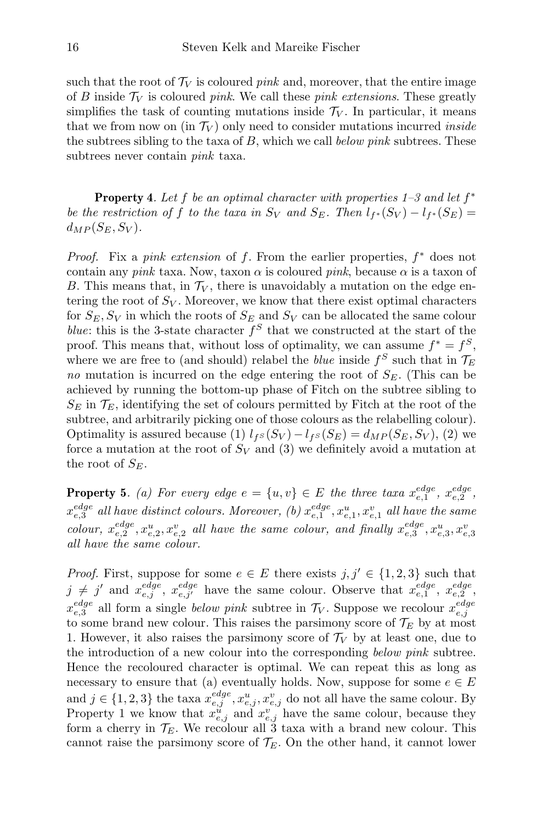such that the root of  $\mathcal{T}_V$  is coloured pink and, moreover, that the entire image of B inside  $\mathcal{T}_V$  is coloured pink. We call these pink extensions. These greatly simplifies the task of counting mutations inside  $\mathcal{T}_V$ . In particular, it means that we from now on (in  $\mathcal{T}_V$ ) only need to consider mutations incurred *inside* the subtrees sibling to the taxa of  $B$ , which we call *below pink* subtrees. These subtrees never contain pink taxa.

**Property 4.** Let f be an optimal character with properties  $1-3$  and let  $f^*$ be the restriction of f to the taxa in  $S_V$  and  $S_E$ . Then  $l_{f^*}(S_V) - l_{f^*}(S_E) =$  $d_{MP}(S_E, S_V)$ .

*Proof.* Fix a *pink extension* of  $f$ . From the earlier properties,  $f^*$  does not contain any pink taxa. Now, taxon  $\alpha$  is coloured pink, because  $\alpha$  is a taxon of B. This means that, in  $\mathcal{T}_V$ , there is unavoidably a mutation on the edge entering the root of  $S_V$ . Moreover, we know that there exist optimal characters for  $S_E$ ,  $S_V$  in which the roots of  $S_E$  and  $S_V$  can be allocated the same colour blue: this is the 3-state character  $f^S$  that we constructed at the start of the proof. This means that, without loss of optimality, we can assume  $f^* = f^S$ , where we are free to (and should) relabel the *blue* inside  $f^S$  such that in  $\mathcal{T}_E$ no mutation is incurred on the edge entering the root of  $S_F$ . (This can be achieved by running the bottom-up phase of Fitch on the subtree sibling to  $S_E$  in  $\mathcal{T}_E$ , identifying the set of colours permitted by Fitch at the root of the subtree, and arbitrarily picking one of those colours as the relabelling colour). Optimality is assured because (1)  $l_{fs}(S_V) - l_{fs}(S_E) = d_{MP}(S_E, S_V)$ , (2) we force a mutation at the root of  $S_V$  and (3) we definitely avoid a mutation at the root of  $S_E$ .

**Property 5.** (a) For every edge  $e = \{u, v\} \in E$  the three taxa  $x_{e,1}^{edge}$ ,  $x_{e,2}^{edge}$ ,  $x^{edge}_{e,3}$  all have distinct colours. Moreover, (b)  $x^{edge}_{e,1}$ ,  $x^{u}_{e,1}$ ,  $x^{v}_{e,1}$  all have the same colour,  $x_{e,2}^{edge}$ ,  $x_{e,2}^{u}$ ,  $x_{e,2}^{v}$  all have the same colour, and finally  $x_{e,3}^{edge}$ ,  $x_{e,3}^{u}$ ,  $x_{e,3}^{v}$ ,  $x_{e,3}^{v}$ all have the same colour.

*Proof.* First, suppose for some  $e \in E$  there exists  $j, j' \in \{1, 2, 3\}$  such that  $j \neq j'$  and  $x_{e,j}^{edge}$ ,  $x_{e,j'}^{edge}$  have the same colour. Observe that  $x_{e,1}^{edge}$ ,  $x_{e,2}^{edge}$ ,  $x_{e,3}^{edge}$  all form a single *below pink* subtree in  $\mathcal{T}_V$ . Suppose we recolour  $x_{e,j}^{edge}$ to some brand new colour. This raises the parsimony score of  $\mathcal{T}_E$  by at most 1. However, it also raises the parsimony score of  $\mathcal{T}_V$  by at least one, due to the introduction of a new colour into the corresponding below pink subtree. Hence the recoloured character is optimal. We can repeat this as long as necessary to ensure that (a) eventually holds. Now, suppose for some  $e \in E$ and  $j \in \{1, 2, 3\}$  the taxa  $x_{e,j}^{edge}, x_{e,j}^{u}, x_{e,j}^{v}$  do not all have the same colour. By Property 1 we know that  $x_{e,j}^{\tilde{u}}$  and  $x_{e,j}^{\tilde{v}}$  have the same colour, because they form a cherry in  $\mathcal{T}_E$ . We recolour all 3 taxa with a brand new colour. This cannot raise the parsimony score of  $\mathcal{T}_E$ . On the other hand, it cannot lower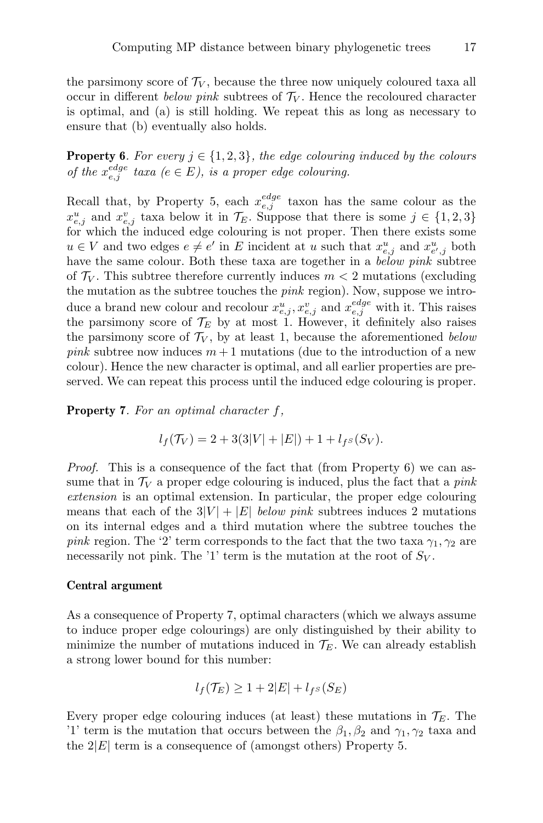the parsimony score of  $\mathcal{T}_V$ , because the three now uniquely coloured taxa all occur in different below pink subtrees of  $\mathcal{T}_V$ . Hence the recoloured character is optimal, and (a) is still holding. We repeat this as long as necessary to ensure that (b) eventually also holds.

**Property 6.** For every  $j \in \{1, 2, 3\}$ , the edge colouring induced by the colours of the  $x_{e,j}^{edge}$  taxa  $(e \in E)$ , is a proper edge colouring.

Recall that, by Property 5, each  $x_{e,j}^{edge}$  taxon has the same colour as the  $x_{e,j}^u$  and  $x_{e,j}^v$  taxa below it in  $\mathcal{T}_E$ . Suppose that there is some  $j \in \{1,2,3\}$ for which the induced edge colouring is not proper. Then there exists some  $u \in V$  and two edges  $e \neq e'$  in E incident at u such that  $x_{e,j}^u$  and  $x_{e',j}^u$  both have the same colour. Both these taxa are together in a *below pink* subtree of  $\mathcal{T}_V$ . This subtree therefore currently induces  $m < 2$  mutations (excluding the mutation as the subtree touches the *pink* region). Now, suppose we introduce a brand new colour and recolour  $x_{e,j}^u$ ,  $x_{e,j}^v$  and  $x_{e,j}^{edge}$  with it. This raises the parsimony score of  $\mathcal{T}_E$  by at most 1. However, it definitely also raises the parsimony score of  $\mathcal{T}_V$ , by at least 1, because the aforementioned below *pink* subtree now induces  $m + 1$  mutations (due to the introduction of a new colour). Hence the new character is optimal, and all earlier properties are preserved. We can repeat this process until the induced edge colouring is proper.

**Property 7.** For an optimal character  $f$ ,

$$
l_f(\mathcal{T}_V) = 2 + 3(3|V| + |E|) + 1 + l_{f^S}(S_V).
$$

*Proof.* This is a consequence of the fact that (from Property 6) we can assume that in  $\mathcal{T}_V$  a proper edge colouring is induced, plus the fact that a *pink* extension is an optimal extension. In particular, the proper edge colouring means that each of the  $3|V| + |E|$  below pink subtrees induces 2 mutations on its internal edges and a third mutation where the subtree touches the pink region. The '2' term corresponds to the fact that the two taxa  $\gamma_1, \gamma_2$  are necessarily not pink. The '1' term is the mutation at the root of  $S_V$ .

#### Central argument

As a consequence of Property 7, optimal characters (which we always assume to induce proper edge colourings) are only distinguished by their ability to minimize the number of mutations induced in  $\mathcal{T}_E$ . We can already establish a strong lower bound for this number:

$$
l_f(\mathcal{T}_E) \ge 1 + 2|E| + l_{f^S}(S_E)
$$

Every proper edge colouring induces (at least) these mutations in  $\mathcal{T}_E$ . The '1' term is the mutation that occurs between the  $\beta_1, \beta_2$  and  $\gamma_1, \gamma_2$  taxa and the  $2|E|$  term is a consequence of (amongst others) Property 5.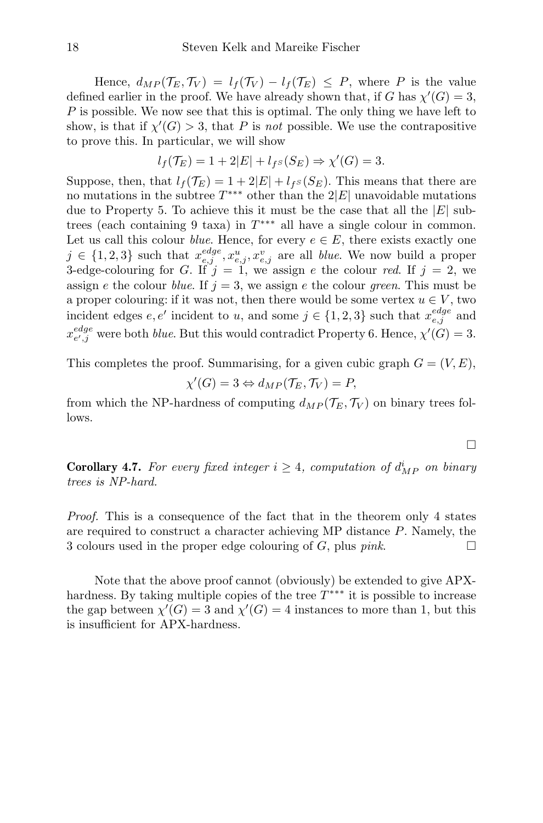Hence,  $d_{MP}(\mathcal{T}_E, \mathcal{T}_V) = l_f(\mathcal{T}_V) - l_f(\mathcal{T}_E) \leq P$ , where P is the value defined earlier in the proof. We have already shown that, if G has  $\chi'(G) = 3$ , P is possible. We now see that this is optimal. The only thing we have left to show, is that if  $\chi'(G) > 3$ , that P is not possible. We use the contrapositive to prove this. In particular, we will show

$$
l_f(\mathcal{T}_E) = 1 + 2|E| + l_{f^S}(S_E) \Rightarrow \chi'(G) = 3.
$$

Suppose, then, that  $l_f(\mathcal{T}_E) = 1 + 2|E| + l_{fs}(S_E)$ . This means that there are no mutations in the subtree  $T^{***}$  other than the  $2|E|$  unavoidable mutations due to Property 5. To achieve this it must be the case that all the  $|E|$  subtrees (each containing 9 taxa) in  $T^{***}$  all have a single colour in common. Let us call this colour *blue*. Hence, for every  $e \in E$ , there exists exactly one  $j \in \{1,2,3\}$  such that  $x_{e,j}^{edge}, x_{e,j}^u, x_{e,j}^v$  are all *blue*. We now build a proper 3-edge-colouring for G. If  $j = 1$ , we assign e the colour red. If  $j = 2$ , we assign e the colour blue. If  $j = 3$ , we assign e the colour green. This must be a proper colouring: if it was not, then there would be some vertex  $u \in V$ , two incident edges  $e, e'$  incident to u, and some  $j \in \{1, 2, 3\}$  such that  $x_{e,j}^{edge}$  and  $x_{e',j}^{edge}$  were both *blue*. But this would contradict Property 6. Hence,  $\chi'(G) = 3$ .

This completes the proof. Summarising, for a given cubic graph  $G = (V, E)$ ,

$$
\chi'(G) = 3 \Leftrightarrow d_{MP}(\mathcal{T}_E, \mathcal{T}_V) = P,
$$

from which the NP-hardness of computing  $d_{MP}(\mathcal{T}_E, \mathcal{T}_V)$  on binary trees follows.

**Corollary 4.7.** For every fixed integer  $i \geq 4$ , computation of  $d_{MP}^i$  on binary trees is NP-hard.

Proof. This is a consequence of the fact that in the theorem only 4 states are required to construct a character achieving MP distance P. Namely, the 3 colours used in the proper edge colouring of G, plus *pink*.

Note that the above proof cannot (obviously) be extended to give APXhardness. By taking multiple copies of the tree  $T^{***}$  it is possible to increase the gap between  $\chi'(G) = 3$  and  $\chi'(G) = 4$  instances to more than 1, but this is insufficient for APX-hardness.

$$
\Box
$$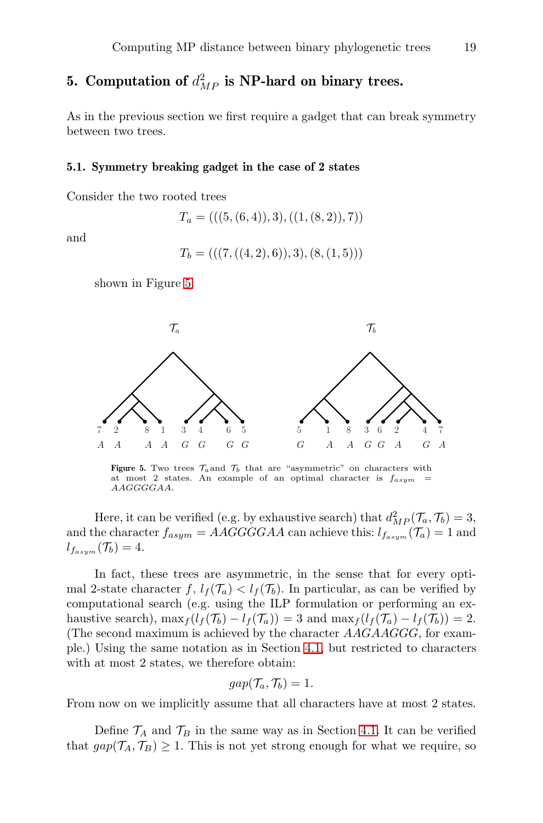## 5. Computation of  $d_{MP}^2$  is NP-hard on binary trees.

As in the previous section we first require a gadget that can break symmetry between two trees.

#### 5.1. Symmetry breaking gadget in the case of 2 states

Consider the two rooted trees

$$
T_a = (((5, (6, 4)), 3), ((1, (8, 2)), 7))
$$

and

$$
T_b = (((7, ((4,2),6)),3), (8, (1,5)))
$$

<span id="page-18-0"></span>shown in Figure [5.](#page-18-0)



Figure 5. Two trees  $\mathcal{T}_a$  and  $\mathcal{T}_b$  that are "asymmetric" on characters with at most 2 states. An example of an optimal character is  $f_{asym}$ AAGGGGAA.

Here, it can be verified (e.g. by exhaustive search) that  $d_{MP}^2(\mathcal{T}_a, \mathcal{T}_b) = 3$ , and the character  $f_{asym} = AAGGGGAA$  can achieve this:  $l_{f_{asym}}(\mathcal{T}_a) = 1$  and  $l_{f_{asym}}(\mathcal{T}_b)=4.$ 

In fact, these trees are asymmetric, in the sense that for every optimal 2-state character f,  $l_f(\mathcal{T}_a) < l_f(\mathcal{T}_b)$ . In particular, as can be verified by computational search (e.g. using the ILP formulation or performing an exhaustive search),  $\max_{f} (l_f(\mathcal{T}_b) - l_f(\mathcal{T}_a)) = 3$  and  $\max_{f} (l_f(\mathcal{T}_a) - l_f(\mathcal{T}_b)) = 2$ . (The second maximum is achieved by the character  $AAGAAGGG$ , for example.) Using the same notation as in Section [4.1,](#page-5-2) but restricted to characters with at most 2 states, we therefore obtain:

$$
gap(\mathcal{T}_a, \mathcal{T}_b) = 1.
$$

From now on we implicitly assume that all characters have at most 2 states.

Define  $\mathcal{T}_A$  and  $\mathcal{T}_B$  in the same way as in Section [4.1.](#page-5-2) It can be verified that  $gap(\mathcal{T}_A, \mathcal{T}_B) \geq 1$ . This is not yet strong enough for what we require, so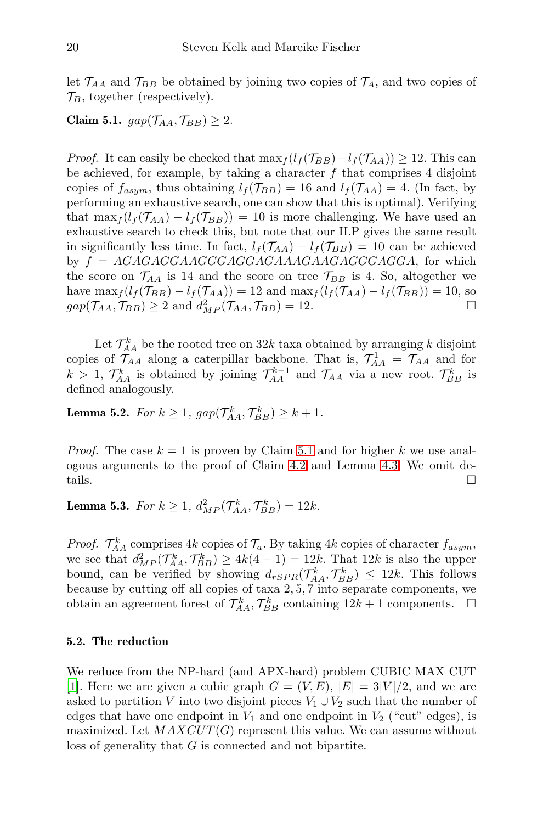let  $\mathcal{T}_{AA}$  and  $\mathcal{T}_{BB}$  be obtained by joining two copies of  $\mathcal{T}_A$ , and two copies of  $\mathcal{T}_B$ , together (respectively).

<span id="page-19-0"></span>Claim 5.1.  $gap(\mathcal{T}_{AA}, \mathcal{T}_{BB}) \geq 2$ .

*Proof.* It can easily be checked that  $\max_{f} (l_f(\mathcal{T}_{BB})-l_f(\mathcal{T}_{AA})) \geq 12$ . This can be achieved, for example, by taking a character  $f$  that comprises 4 disjoint copies of  $f_{asym}$ , thus obtaining  $l_f(\mathcal{T}_{BB}) = 16$  and  $l_f(\mathcal{T}_{AA}) = 4$ . (In fact, by performing an exhaustive search, one can show that this is optimal). Verifying that  $\max_f (l_f(\mathcal{T}_{AA}) - l_f(\mathcal{T}_{BB})) = 10$  is more challenging. We have used an exhaustive search to check this, but note that our ILP gives the same result in significantly less time. In fact,  $l_f(\mathcal{T}_{AA}) - l_f(\mathcal{T}_{BB}) = 10$  can be achieved by  $f = AGAGAGGAGGGAGGAGAAGAAGAGAGGGAGGA$ , for which the score on  $\mathcal{T}_{AA}$  is 14 and the score on tree  $\mathcal{T}_{BB}$  is 4. So, altogether we have  $\max_{f}(l_f(\mathcal{T}_{BB}) - l_f(\mathcal{T}_{AA})) = 12$  and  $\max_{f}(l_f(\mathcal{T}_{AA}) - l_f(\mathcal{T}_{BB})) = 10$ , so  $gap(\mathcal{T}_{AA}, \mathcal{T}_{BB}) \ge 2$  and  $d_{MP}^2(\mathcal{T}_{AA}, \mathcal{T}_{BB}) = 12.$ 

Let  $\mathcal{T}_{AA}^k$  be the rooted tree on  $32k$  taxa obtained by arranging k disjoint copies of  $\mathcal{T}_{AA}$  along a caterpillar backbone. That is,  $\mathcal{T}_{AA}^1 = \mathcal{T}_{AA}$  and for  $k > 1$ ,  $\mathcal{T}_{AA}^k$  is obtained by joining  $\mathcal{T}_{AA}^{k-1}$  and  $\mathcal{T}_{AA}$  via a new root.  $\mathcal{T}_{BB}^k$  is defined analogously.

<span id="page-19-2"></span>**Lemma 5.2.** For  $k \geq 1$ ,  $gap(\mathcal{T}_{AA}^k, \mathcal{T}_{BB}^k) \geq k+1$ .

*Proof.* The case  $k = 1$  is proven by Claim [5.1](#page-19-0) and for higher k we use analogous arguments to the proof of Claim [4.2](#page-6-1) and Lemma [4.3.](#page-7-0) We omit details.

<span id="page-19-1"></span>**Lemma 5.3.** For  $k \geq 1$ ,  $d_{MP}^2(\mathcal{T}_{AA}^k, \mathcal{T}_{BB}^k) = 12k$ .

*Proof.*  $\mathcal{T}_{AA}^k$  comprises 4k copies of  $\mathcal{T}_a$ . By taking 4k copies of character  $f_{asym}$ , we see that  $d_{MP}^2(\mathcal{T}_{AA}^k, \mathcal{T}_{BB}^k) \ge 4k(4-1) = 12k$ . That  $12k$  is also the upper bound, can be verified by showing  $d_{rSPR}(\mathcal{T}_{AA}^k, \mathcal{T}_{BB}^k) \leq 12k$ . This follows because by cutting off all copies of taxa 2, 5, 7 into separate components, we obtain an agreement forest of  $\mathcal{T}_{AA}^k$ ,  $\mathcal{T}_{BB}^k$  containing  $12k + 1$  components.  $\Box$ 

#### 5.2. The reduction

We reduce from the NP-hard (and APX-hard) problem CUBIC MAX CUT [\[1\]](#page-35-6). Here we are given a cubic graph  $G = (V, E), |E| = 3|V|/2$ , and we are asked to partition V into two disjoint pieces  $V_1 \cup V_2$  such that the number of edges that have one endpoint in  $V_1$  and one endpoint in  $V_2$  ("cut" edges), is maximized. Let  $MAXCUT(G)$  represent this value. We can assume without loss of generality that G is connected and not bipartite.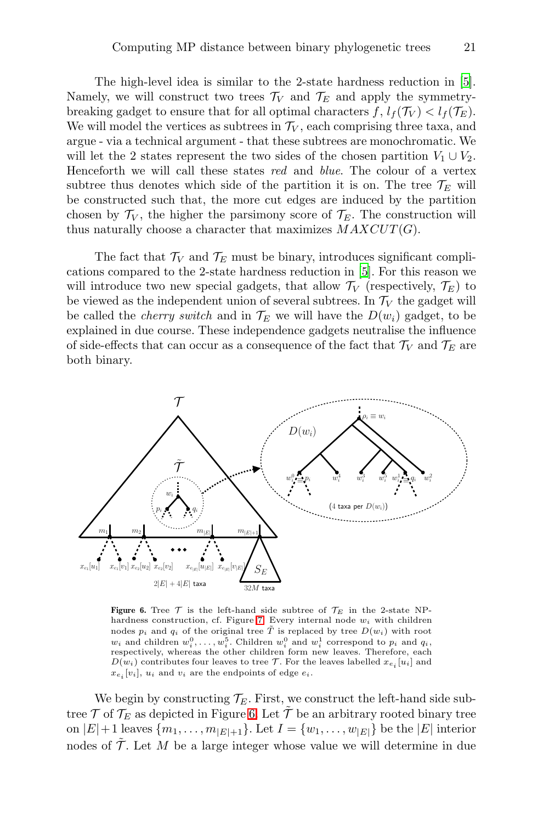The high-level idea is similar to the 2-state hardness reduction in [\[5\]](#page-35-1). Namely, we will construct two trees  $\mathcal{T}_V$  and  $\mathcal{T}_E$  and apply the symmetrybreaking gadget to ensure that for all optimal characters  $f, l_f(\mathcal{T}_V) < l_f(\mathcal{T}_E)$ . We will model the vertices as subtrees in  $\mathcal{T}_V$ , each comprising three taxa, and argue - via a technical argument - that these subtrees are monochromatic. We will let the 2 states represent the two sides of the chosen partition  $V_1 \cup V_2$ . Henceforth we will call these states red and blue. The colour of a vertex subtree thus denotes which side of the partition it is on. The tree  $\mathcal{T}_E$  will be constructed such that, the more cut edges are induced by the partition chosen by  $\mathcal{T}_V$ , the higher the parsimony score of  $\mathcal{T}_E$ . The construction will thus naturally choose a character that maximizes  $MAXCUT(G)$ .

The fact that  $\mathcal{T}_V$  and  $\mathcal{T}_E$  must be binary, introduces significant complications compared to the 2-state hardness reduction in [\[5\]](#page-35-1). For this reason we will introduce two new special gadgets, that allow  $\mathcal{T}_V$  (respectively,  $\mathcal{T}_E$ ) to be viewed as the independent union of several subtrees. In  $\mathcal{T}_V$  the gadget will be called the *cherry switch* and in  $\mathcal{T}_E$  we will have the  $D(w_i)$  gadget, to be explained in due course. These independence gadgets neutralise the influence of side-effects that can occur as a consequence of the fact that  $\mathcal{T}_V$  and  $\mathcal{T}_E$  are both binary.

<span id="page-20-0"></span>

Figure 6. Tree  $\mathcal T$  is the left-hand side subtree of  $\mathcal T_E$  in the 2-state NP-hardness construction, cf. Figure [7.](#page-21-0) Every internal node  $w_i$  with children nodes  $p_i$  and  $q_i$  of the original tree  $\tilde{T}$  is replaced by tree  $D(w_i)$  with root  $w_i$  and children  $w_i^0, \ldots, w_i^5$ . Children  $w_i^0$  and  $w_i^1$  correspond to  $p_i$  and  $q_i$ , respectively, whereas the other children form new leaves. Therefore, each  $D(w_i)$  contributes four leaves to tree  $\mathcal T$ . For the leaves labelled  $x_{e_i}[u_i]$  and  $x_{e_i}[v_i]$ ,  $u_i$  and  $v_i$  are the endpoints of edge  $e_i$ .

We begin by constructing  $\mathcal{T}_E$ . First, we construct the left-hand side subtree  $\mathcal T$  of  $\mathcal T_E$  as depicted in Figure [6.](#page-20-0) Let  $\mathcal T$  be an arbitrary rooted binary tree on  $|E|+1$  leaves  $\{m_1, \ldots, m_{|E|+1}\}\)$ . Let  $I = \{w_1, \ldots, w_{|E|}\}\)$  be the  $|E|$  interior nodes of  $\tilde{\mathcal{T}}$ . Let M be a large integer whose value we will determine in due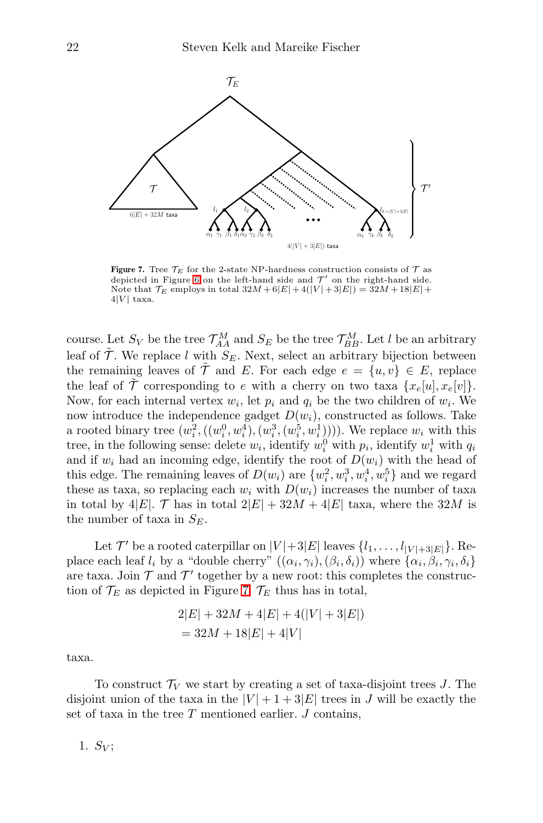<span id="page-21-0"></span>

Figure 7. Tree  $\mathcal{T}_E$  for the 2-state NP-hardness construction consists of  $\mathcal T$  as depicted in Figure [6](#page-20-0) on the left-hand side and  $\mathcal{T}'$  on the right-hand side. Note that  $\mathcal{T}_E$  employs in total  $32M + 6|E| + 4(|V| + 3|E|) = 32M + 18|E| +$  $4|V|$  taxa.

course. Let  $S_V$  be the tree  $\mathcal{T}_{AA}^M$  and  $S_E$  be the tree  $\mathcal{T}_{BB}^M$ . Let l be an arbitrary leaf of  $\tilde{\mathcal{T}}$ . We replace l with  $S_F$ . Next, select an arbitrary bijection between the remaining leaves of  $\tilde{\mathcal{T}}$  and E. For each edge  $e = \{u, v\} \in E$ , replace the leaf of  $\mathcal T$  corresponding to e with a cherry on two taxa  $\{x_e[u], x_e[v]\}.$ Now, for each internal vertex  $w_i$ , let  $p_i$  and  $q_i$  be the two children of  $w_i$ . We now introduce the independence gadget  $D(w_i)$ , constructed as follows. Take a rooted binary tree  $(w_i^2, ((w_i^0, w_i^4), (w_i^3, (w_i^5, w_i^1))))$ . We replace  $w_i$  with this tree, in the following sense: delete  $w_i$ , identify  $w_i^0$  with  $p_i$ , identify  $w_i^1$  with  $q_i$ and if  $w_i$  had an incoming edge, identify the root of  $D(w_i)$  with the head of this edge. The remaining leaves of  $D(w_i)$  are  $\{w_i^2, w_i^3, w_i^4, w_i^5\}$  and we regard these as taxa, so replacing each  $w_i$  with  $D(w_i)$  increases the number of taxa in total by 4|E|. T has in total  $2|E| + 32M + 4|E|$  taxa, where the  $32M$  is the number of taxa in  $S_E$ .

Let  $\mathcal{T}'$  be a rooted caterpillar on  $|V|+3|E|$  leaves  $\{l_1,\ldots,l_{|V|+3|E|}\}$ . Replace each leaf  $l_i$  by a "double cherry"  $((\alpha_i, \gamma_i), (\beta_i, \delta_i))$  where  $\{\alpha_i, \beta_i, \gamma_i, \delta_i\}$ are taxa. Join  $\mathcal T$  and  $\mathcal T'$  together by a new root: this completes the construction of  $\mathcal{T}_E$  as depicted in Figure [7.](#page-21-0)  $\mathcal{T}_E$  thus has in total,

$$
2|E| + 32M + 4|E| + 4(|V| + 3|E|)
$$
  
= 32M + 18|E| + 4|V|

taxa.

To construct  $\mathcal{T}_V$  we start by creating a set of taxa-disjoint trees J. The disjoint union of the taxa in the  $|V| + 1 + 3|E|$  trees in J will be exactly the set of taxa in the tree  $T$  mentioned earlier.  $J$  contains,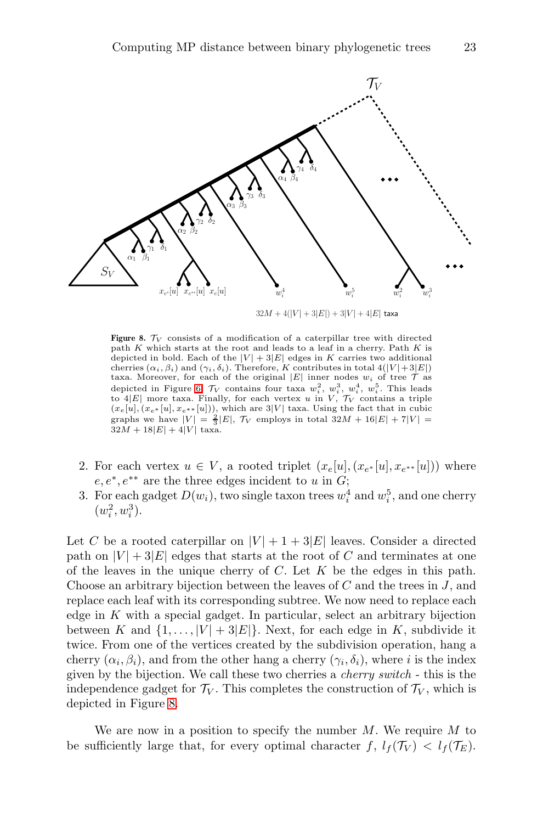<span id="page-22-0"></span>

Figure 8.  $\mathcal{T}_V$  consists of a modification of a caterpillar tree with directed path K which starts at the root and leads to a leaf in a cherry. Path K is depicted in bold. Each of the  $|V| + 3|E|$  edges in K carries two additional cherries  $(\alpha_i, \beta_i)$  and  $(\gamma_i, \delta_i)$ . Therefore, K contributes in total  $4(|V|+3|E|)$ taxa. Moreover, for each of the original  $|E|$  inner nodes  $w_i$  of tree  $\mathcal T$  as depicted in Figure [6,](#page-20-0)  $\mathcal{T}_V$  contains four taxa  $w_i^2$ ,  $w_i^3$ ,  $w_i^4$ ,  $w_i^5$ . This leads to 4 $|E|$  more taxa. Finally, for each vertex  $u$  in  $V, \mathcal{T}_V$  contains a triple  $(x_e[u], (x_{e^*}[u], x_{e^{**}}[u]))$ , which are 3|V| taxa. Using the fact that in cubic graphs we have  $|V| = \frac{2}{3}|E|, \mathcal{T}_V$  employs in total  $32M + 16|E| + 7|V| =$  $32M + 18|E| + 4|V|$  taxa.

- 2. For each vertex  $u \in V$ , a rooted triplet  $(x_e[u], (x_{e^*}[u], x_{e^{**}}[u]))$  where  $e, e^*, e^{**}$  are the three edges incident to u in G;
- 3. For each gadget  $D(w_i)$ , two single taxon trees  $w_i^4$  and  $w_i^5$ , and one cherry  $(w_i^2, w_i^3)$ .

Let C be a rooted caterpillar on  $|V| + 1 + 3|E|$  leaves. Consider a directed path on  $|V| + 3|E|$  edges that starts at the root of C and terminates at one of the leaves in the unique cherry of  $C$ . Let  $K$  be the edges in this path. Choose an arbitrary bijection between the leaves of  $C$  and the trees in  $J$ , and replace each leaf with its corresponding subtree. We now need to replace each edge in  $K$  with a special gadget. In particular, select an arbitrary bijection between K and  $\{1, \ldots, |V| + 3|E|\}$ . Next, for each edge in K, subdivide it twice. From one of the vertices created by the subdivision operation, hang a cherry  $(\alpha_i, \beta_i)$ , and from the other hang a cherry  $(\gamma_i, \delta_i)$ , where i is the index given by the bijection. We call these two cherries a cherry switch - this is the independence gadget for  $\mathcal{T}_V$ . This completes the construction of  $\mathcal{T}_V$ , which is depicted in Figure [8.](#page-22-0)

We are now in a position to specify the number  $M$ . We require  $M$  to be sufficiently large that, for every optimal character  $f, l_f(\mathcal{T}_V) < l_f(\mathcal{T}_E)$ .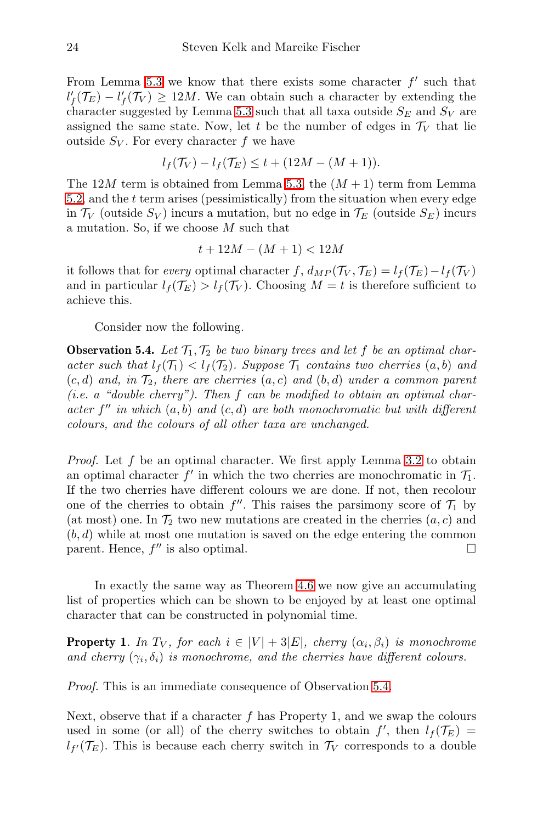From Lemma [5.3](#page-19-1) we know that there exists some character  $f'$  such that  $l'_{f}(\mathcal{T}_{E}) - l'_{f}(\mathcal{T}_{V}) \geq 12M$ . We can obtain such a character by extending the character suggested by Lemma [5.3](#page-19-1) such that all taxa outside  $S_E$  and  $S_V$  are assigned the same state. Now, let t be the number of edges in  $\mathcal{T}_V$  that lie outside  $S_V$ . For every character f we have

$$
l_f(\mathcal{T}_V) - l_f(\mathcal{T}_E) \le t + (12M - (M+1)).
$$

The 12M term is obtained from Lemma [5.3,](#page-19-1) the  $(M+1)$  term from Lemma [5.2,](#page-19-2) and the t term arises (pessimistically) from the situation when every edge in  $\mathcal{T}_V$  (outside  $S_V$ ) incurs a mutation, but no edge in  $\mathcal{T}_E$  (outside  $S_E$ ) incurs a mutation. So, if we choose M such that

$$
t + 12M - (M + 1) < 12M
$$

it follows that for every optimal character f,  $d_{MP}(\mathcal{T}_V, \mathcal{T}_E) = l_f(\mathcal{T}_E) - l_f(\mathcal{T}_V)$ and in particular  $l_f(\mathcal{T}_E) > l_f(\mathcal{T}_V)$ . Choosing  $M = t$  is therefore sufficient to achieve this.

Consider now the following.

<span id="page-23-0"></span>**Observation 5.4.** Let  $T_1, T_2$  be two binary trees and let f be an optimal character such that  $l_f(\mathcal{T}_1) < l_f(\mathcal{T}_2)$ . Suppose  $\mathcal{T}_1$  contains two cherries  $(a, b)$  and  $(c, d)$  and, in  $\mathcal{T}_2$ , there are cherries  $(a, c)$  and  $(b, d)$  under a common parent (*i.e.* a "double cherry"). Then  $f$  can be modified to obtain an optimal character  $f''$  in which  $(a, b)$  and  $(c, d)$  are both monochromatic but with different colours, and the colours of all other taxa are unchanged.

*Proof.* Let f be an optimal character. We first apply Lemma [3.2](#page-4-1) to obtain an optimal character  $f'$  in which the two cherries are monochromatic in  $\mathcal{T}_1$ . If the two cherries have different colours we are done. If not, then recolour one of the cherries to obtain  $f''$ . This raises the parsimony score of  $\mathcal{T}_1$  by (at most) one. In  $\mathcal{T}_2$  two new mutations are created in the cherries  $(a, c)$  and  $(b, d)$  while at most one mutation is saved on the edge entering the common parent. Hence,  $f''$  is also optimal.

In exactly the same way as Theorem [4.6](#page-8-3) we now give an accumulating list of properties which can be shown to be enjoyed by at least one optimal character that can be constructed in polynomial time.

**Property 1**. In  $T_V$ , for each  $i \in |V| + 3|E|$ , cherry  $(\alpha_i, \beta_i)$  is monochrome and cherry  $(\gamma_i, \delta_i)$  is monochrome, and the cherries have different colours.

Proof. This is an immediate consequence of Observation [5.4.](#page-23-0)

Next, observe that if a character  $f$  has Property 1, and we swap the colours used in some (or all) of the cherry switches to obtain  $f'$ , then  $l_f(\mathcal{T}_E)$  =  $l_{f'}(\mathcal{T}_E)$ . This is because each cherry switch in  $\mathcal{T}_V$  corresponds to a double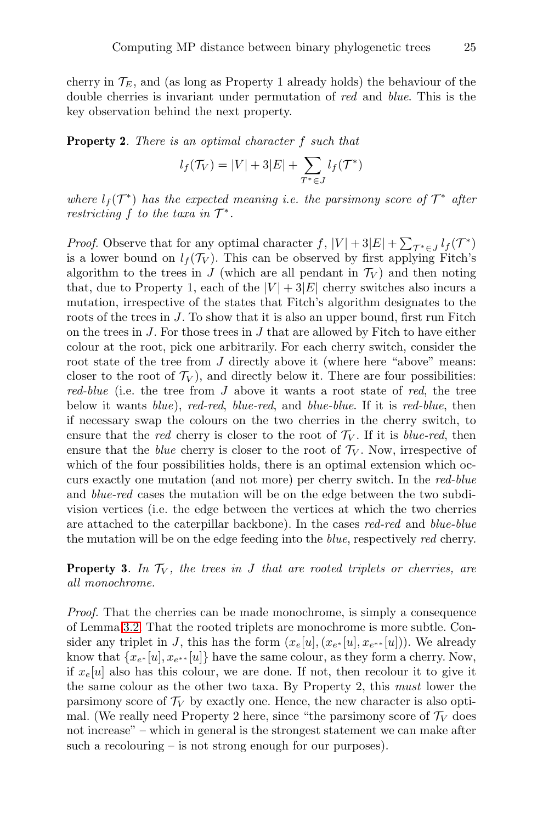cherry in  $\mathcal{T}_E$ , and (as long as Property 1 already holds) the behaviour of the double cherries is invariant under permutation of red and blue. This is the key observation behind the next property.

Property 2. There is an optimal character f such that

$$
l_f(\mathcal{T}_V) = |V| + 3|E| + \sum_{T^* \in J} l_f(\mathcal{T}^*)
$$

where  $l_f(\mathcal{T}^*)$  has the expected meaning i.e. the parsimony score of  $\mathcal{T}^*$  after restricting f to the taxa in  $\mathcal{T}^*$ .

*Proof.* Observe that for any optimal character  $f$ ,  $|V| + 3|E| + \sum_{\tau^* \in J} l_f(\tau^*)$ is a lower bound on  $l_f(\mathcal{T}_V)$ . This can be observed by first applying Fitch's algorithm to the trees in J (which are all pendant in  $\mathcal{T}_V$ ) and then noting that, due to Property 1, each of the  $|V| + 3|E|$  cherry switches also incurs a mutation, irrespective of the states that Fitch's algorithm designates to the roots of the trees in J. To show that it is also an upper bound, first run Fitch on the trees in  $J$ . For those trees in  $J$  that are allowed by Fitch to have either colour at the root, pick one arbitrarily. For each cherry switch, consider the root state of the tree from J directly above it (where here "above" means: closer to the root of  $\mathcal{T}_V$ ), and directly below it. There are four possibilities: red-blue (i.e. the tree from  $J$  above it wants a root state of red, the tree below it wants blue), red-red, blue-red, and blue-blue. If it is red-blue, then if necessary swap the colours on the two cherries in the cherry switch, to ensure that the red cherry is closer to the root of  $\mathcal{T}_V$ . If it is blue-red, then ensure that the *blue* cherry is closer to the root of  $\mathcal{T}_V$ . Now, irrespective of which of the four possibilities holds, there is an optimal extension which occurs exactly one mutation (and not more) per cherry switch. In the red-blue and blue-red cases the mutation will be on the edge between the two subdivision vertices (i.e. the edge between the vertices at which the two cherries are attached to the caterpillar backbone). In the cases red-red and blue-blue the mutation will be on the edge feeding into the blue, respectively red cherry.

**Property 3.** In  $\mathcal{T}_V$ , the trees in J that are rooted triplets or cherries, are all monochrome.

Proof. That the cherries can be made monochrome, is simply a consequence of Lemma [3.2.](#page-4-1) That the rooted triplets are monochrome is more subtle. Consider any triplet in J, this has the form  $(x_e[u], (x_{e^*}[u], x_{e^{**}}[u]))$ . We already know that  $\{x_{e^*}[u], x_{e^{**}}[u]\}$  have the same colour, as they form a cherry. Now, if  $x_e[u]$  also has this colour, we are done. If not, then recolour it to give it the same colour as the other two taxa. By Property 2, this must lower the parsimony score of  $\mathcal{T}_V$  by exactly one. Hence, the new character is also optimal. (We really need Property 2 here, since "the parsimony score of  $\mathcal{T}_V$  does not increase" – which in general is the strongest statement we can make after such a recolouring – is not strong enough for our purposes).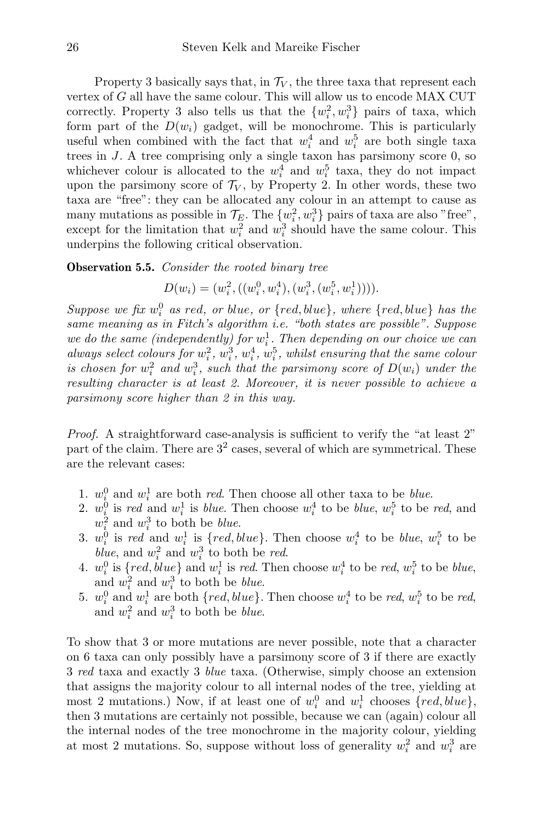Property 3 basically says that, in  $\mathcal{T}_V$ , the three taxa that represent each vertex of G all have the same colour. This will allow us to encode MAX CUT correctly. Property 3 also tells us that the  $\{w_i^2, w_i^3\}$  pairs of taxa, which form part of the  $D(w_i)$  gadget, will be monochrome. This is particularly useful when combined with the fact that  $w_i^4$  and  $w_i^5$  are both single taxa trees in J. A tree comprising only a single taxon has parsimony score 0, so whichever colour is allocated to the  $w_i^4$  and  $w_i^5$  taxa, they do not impact upon the parsimony score of  $\mathcal{T}_V$ , by Property 2. In other words, these two taxa are "free": they can be allocated any colour in an attempt to cause as many mutations as possible in  $\mathcal{T}_E$ . The  $\{w_i^2, w_i^3\}$  pairs of taxa are also "free", except for the limitation that  $w_i^2$  and  $w_i^3$  should have the same colour. This underpins the following critical observation.

#### <span id="page-25-0"></span>**Observation 5.5.** Consider the rooted binary tree

$$
D(w_i) = (w_i^2, ((w_i^0, w_i^4), (w_i^3, (w_i^5, w_i^1))))
$$

Suppose we fix  $w_i^0$  as red, or blue, or  $\{red, blue\}$ , where  $\{red, blue\}$  has the same meaning as in Fitch's algorithm i.e. "both states are possible". Suppose we do the same (independently) for  $w_i^1$ . Then depending on our choice we can always select colours for  $w_i^2$ ,  $w_i^3$ ,  $w_i^4$ ,  $w_i^5$ , whilst ensuring that the same colour is chosen for  $w_i^2$  and  $w_i^3$ , such that the parsimony score of  $D(w_i)$  under the resulting character is at least 2. Moreover, it is never possible to achieve a parsimony score higher than 2 in this way.

Proof. A straightforward case-analysis is sufficient to verify the "at least 2" part of the claim. There are 3<sup>2</sup> cases, several of which are symmetrical. These are the relevant cases:

- 1.  $w_i^0$  and  $w_i^1$  are both *red*. Then choose all other taxa to be *blue*.
- 2.  $w_i^0$  is red and  $w_i^1$  is blue. Then choose  $w_i^4$  to be blue,  $w_i^5$  to be red, and  $w_i^2$  and  $w_i^3$  to both be *blue*.
- 3.  $w_i^0$  is red and  $w_i^1$  is  $\{red, blue\}$ . Then choose  $w_i^4$  to be *blue*,  $w_i^5$  to be blue, and  $w_i^2$  and  $w_i^3$  to both be red.
- 4.  $w_i^0$  is  $\{red, blue\}$  and  $w_i^1$  is red. Then choose  $w_i^4$  to be red,  $w_i^5$  to be blue, and  $w_i^2$  and  $w_i^3$  to both be *blue*.
- 5.  $w_i^0$  and  $w_i^1$  are both  $\{red, blue\}$ . Then choose  $w_i^4$  to be red,  $w_i^5$  to be red, and  $w_i^2$  and  $w_i^3$  to both be *blue*.

To show that 3 or more mutations are never possible, note that a character on 6 taxa can only possibly have a parsimony score of 3 if there are exactly 3 red taxa and exactly 3 blue taxa. (Otherwise, simply choose an extension that assigns the majority colour to all internal nodes of the tree, yielding at most 2 mutations.) Now, if at least one of  $w_i^0$  and  $w_i^1$  chooses  $\{red, blue\}$ , then 3 mutations are certainly not possible, because we can (again) colour all the internal nodes of the tree monochrome in the majority colour, yielding at most 2 mutations. So, suppose without loss of generality  $w_i^2$  and  $w_i^3$  are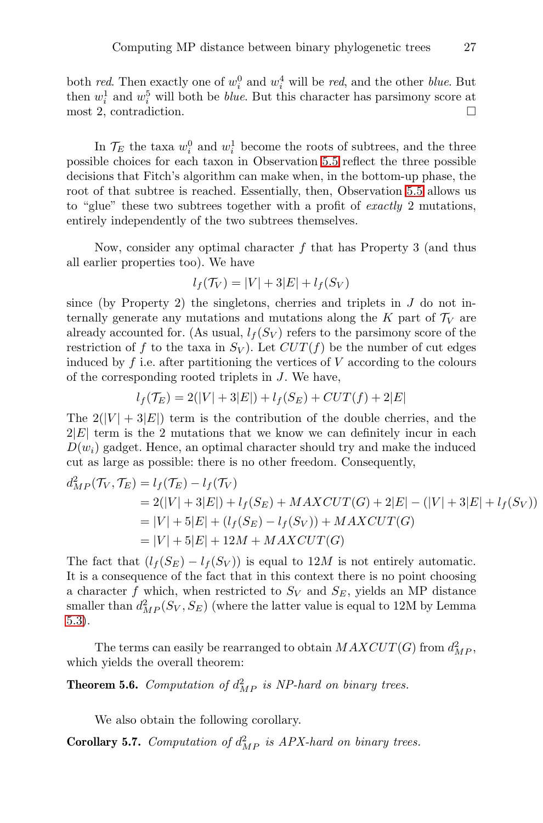both red. Then exactly one of  $w_i^0$  and  $w_i^4$  will be red, and the other *blue*. But then  $w_i^1$  and  $w_i^5$  will both be *blue*. But this character has parsimony score at most 2, contradiction.

In  $\mathcal{T}_E$  the taxa  $w_i^0$  and  $w_i^1$  become the roots of subtrees, and the three possible choices for each taxon in Observation [5.5](#page-25-0) reflect the three possible decisions that Fitch's algorithm can make when, in the bottom-up phase, the root of that subtree is reached. Essentially, then, Observation [5.5](#page-25-0) allows us to "glue" these two subtrees together with a profit of *exactly* 2 mutations, entirely independently of the two subtrees themselves.

Now, consider any optimal character  $f$  that has Property 3 (and thus all earlier properties too). We have

$$
l_f(\mathcal{T}_V) = |V| + 3|E| + l_f(S_V)
$$

since (by Property 2) the singletons, cherries and triplets in  $J$  do not internally generate any mutations and mutations along the  $K$  part of  $\mathcal{T}_V$  are already accounted for. (As usual,  $l_f(S_V)$  refers to the parsimony score of the restriction of f to the taxa in  $S_V$ ). Let  $CUT(f)$  be the number of cut edges induced by  $f$  i.e. after partitioning the vertices of  $V$  according to the colours of the corresponding rooted triplets in J. We have,

$$
l_f(\mathcal{T}_E) = 2(|V| + 3|E|) + l_f(S_E) + CUT(f) + 2|E|
$$

The  $2(|V| + 3|E|)$  term is the contribution of the double cherries, and the  $2|E|$  term is the 2 mutations that we know we can definitely incur in each  $D(w_i)$  gadget. Hence, an optimal character should try and make the induced cut as large as possible: there is no other freedom. Consequently,

$$
d_{MP}^2(\mathcal{T}_V, \mathcal{T}_E) = l_f(\mathcal{T}_E) - l_f(\mathcal{T}_V)
$$
  
= 2(|V| + 3|E|) + l\_f(S\_E) + MAXCUT(G) + 2|E| - (|V| + 3|E| + l\_f(S\_V))  
= |V| + 5|E| + (l\_f(S\_E) - l\_f(S\_V)) + MAXCUT(G)  
= |V| + 5|E| + 12M + MAXCUT(G)

The fact that  $(l_f(S_E) - l_f(S_V))$  is equal to 12M is not entirely automatic. It is a consequence of the fact that in this context there is no point choosing a character f which, when restricted to  $S_V$  and  $S_E$ , yields an MP distance smaller than  $d_{MP}^2(S_V, S_E)$  (where the latter value is equal to 12M by Lemma [5.3\)](#page-19-1).

The terms can easily be rearranged to obtain  $MAXCUT(G)$  from  $d_{MP}^2$ , which yields the overall theorem:

**Theorem 5.6.** Computation of  $d_{MP}^2$  is NP-hard on binary trees.

We also obtain the following corollary.

**Corollary 5.7.** Computation of  $d_{MP}^2$  is APX-hard on binary trees.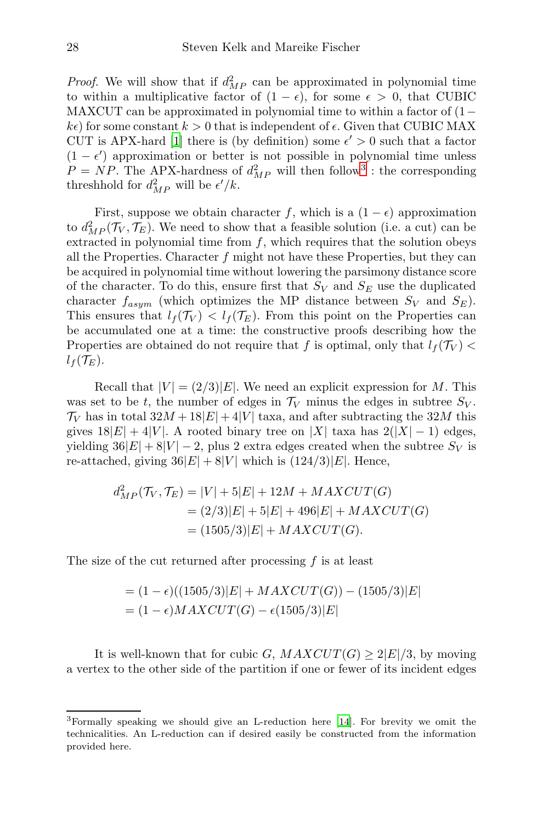*Proof.* We will show that if  $d_{MP}^2$  can be approximated in polynomial time to within a multiplicative factor of  $(1 - \epsilon)$ , for some  $\epsilon > 0$ , that CUBIC MAXCUT can be approximated in polynomial time to within a factor of  $(1-\mathbf{S})$  $k\epsilon$ ) for some constant  $k > 0$  that is independent of  $\epsilon$ . Given that CUBIC MAX CUT is APX-hard [\[1\]](#page-35-6) there is (by definition) some  $\epsilon' > 0$  such that a factor  $(1 - \epsilon')$  approximation or better is not possible in polynomial time unless  $P = NP$ . The APX-hardness of  $d_{MP}^2$  will then follow<sup>[3](#page-27-0)</sup>: the corresponding threshhold for  $d_{MP}^2$  will be  $\epsilon'/k$ .

First, suppose we obtain character f, which is a  $(1 - \epsilon)$  approximation to  $d_{MP}^2(\mathcal{T}_V, \mathcal{T}_E)$ . We need to show that a feasible solution (i.e. a cut) can be extracted in polynomial time from  $f$ , which requires that the solution obeys all the Properties. Character  $f$  might not have these Properties, but they can be acquired in polynomial time without lowering the parsimony distance score of the character. To do this, ensure first that  $S_V$  and  $S_E$  use the duplicated character  $f_{asym}$  (which optimizes the MP distance between  $S_V$  and  $S_E$ ). This ensures that  $l_f(\mathcal{T}_V) < l_f(\mathcal{T}_E)$ . From this point on the Properties can be accumulated one at a time: the constructive proofs describing how the Properties are obtained do not require that f is optimal, only that  $l_f(\mathcal{T}_V)$  $l_f(\mathcal{T}_E).$ 

Recall that  $|V| = (2/3)|E|$ . We need an explicit expression for M. This was set to be t, the number of edges in  $\mathcal{T}_V$  minus the edges in subtree  $S_V$ .  $\mathcal{T}_V$  has in total  $32M + 18|E| + 4|V|$  taxa, and after subtracting the  $32M$  this gives  $18|E| + 4|V|$ . A rooted binary tree on |X| taxa has  $2(|X| - 1)$  edges, yielding  $36|E| + 8|V| - 2$ , plus 2 extra edges created when the subtree  $S_V$  is re-attached, giving  $36|E| + 8|V|$  which is  $(124/3)|E|$ . Hence,

$$
d_{MP}^2(\mathcal{T}_V, \mathcal{T}_E) = |V| + 5|E| + 12M + MAXCUT(G)
$$
  
= (2/3)|E| + 5|E| + 496|E| + MAXCUT(G)  
= (1505/3)|E| + MAXCUT(G).

The size of the cut returned after processing f is at least

$$
= (1 - ε)((1505/3)|E| + MAXCUT(G)) – (1505/3)|E|= (1 - ε)MAXCUT(G) – ε(1505/3)|E|
$$

It is well-known that for cubic G,  $MAXCUT(G) \geq 2|E|/3$ , by moving a vertex to the other side of the partition if one or fewer of its incident edges

<span id="page-27-0"></span><sup>3</sup>Formally speaking we should give an L-reduction here [\[14\]](#page-36-6). For brevity we omit the technicalities. An L-reduction can if desired easily be constructed from the information provided here.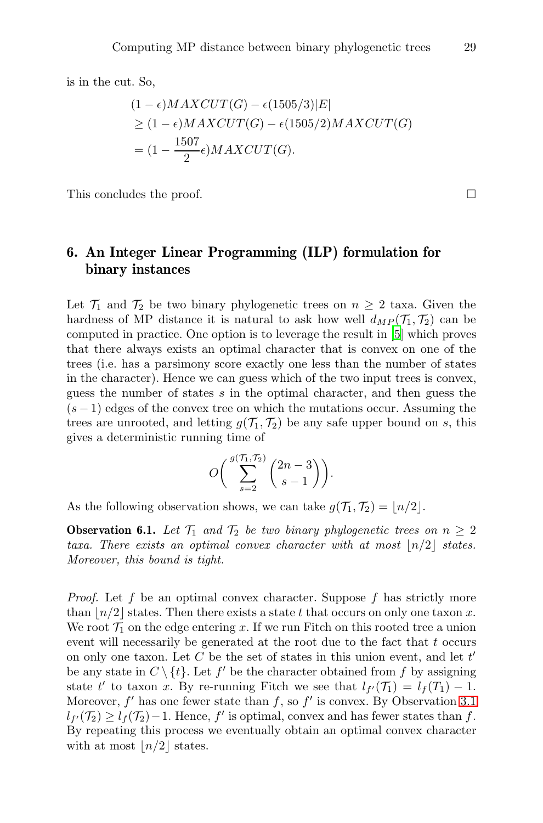is in the cut. So,

$$
(1 - \epsilon)MAXCUT(G) - \epsilon(1505/3)|E|
$$
  
\n
$$
\geq (1 - \epsilon)MAXCUT(G) - \epsilon(1505/2)MAXCUT(G)
$$
  
\n
$$
= (1 - \frac{1507}{2}\epsilon)MAXCUT(G).
$$

This concludes the proof.

## <span id="page-28-0"></span>6. An Integer Linear Programming (ILP) formulation for binary instances

Let  $\mathcal{T}_1$  and  $\mathcal{T}_2$  be two binary phylogenetic trees on  $n \geq 2$  taxa. Given the hardness of MP distance it is natural to ask how well  $d_{MP}(\mathcal{T}_1, \mathcal{T}_2)$  can be computed in practice. One option is to leverage the result in [\[5](#page-35-1)] which proves that there always exists an optimal character that is convex on one of the trees (i.e. has a parsimony score exactly one less than the number of states in the character). Hence we can guess which of the two input trees is convex, guess the number of states  $s$  in the optimal character, and then guess the  $(s-1)$  edges of the convex tree on which the mutations occur. Assuming the trees are unrooted, and letting  $g(\mathcal{T}_1, \mathcal{T}_2)$  be any safe upper bound on s, this gives a deterministic running time of

$$
O\bigg(\sum_{s=2}^{g\left(\mathcal{T}_1,\mathcal{T}_2\right)}\binom{2n-3}{s-1}\bigg).
$$

As the following observation shows, we can take  $g(\mathcal{T}_1, \mathcal{T}_2) = |n/2|$ .

**Observation 6.1.** Let  $\mathcal{T}_1$  and  $\mathcal{T}_2$  be two binary phylogenetic trees on  $n \geq 2$ taxa. There exists an optimal convex character with at most  $\lfloor n/2 \rfloor$  states. Moreover, this bound is tight.

*Proof.* Let f be an optimal convex character. Suppose f has strictly more than  $\lfloor n/2 \rfloor$  states. Then there exists a state t that occurs on only one taxon x. We root  $\mathcal{T}_1$  on the edge entering x. If we run Fitch on this rooted tree a union event will necessarily be generated at the root due to the fact that  $t$  occurs on only one taxon. Let  $C$  be the set of states in this union event, and let  $t'$ be any state in  $C \setminus \{t\}$ . Let  $f'$  be the character obtained from f by assigning state t' to taxon x. By re-running Fitch we see that  $l_{f'}(\mathcal{T}_1) = l_f(T_1) - 1$ . Moreover,  $f'$  has one fewer state than  $f$ , so  $f'$  is convex. By Observation [3.1](#page-4-0)  $l_{f'}(\mathcal{T}_2) \geq l_f(\mathcal{T}_2)-1$ . Hence, f' is optimal, convex and has fewer states than f. By repeating this process we eventually obtain an optimal convex character with at most  $\lfloor n/2 \rfloor$  states.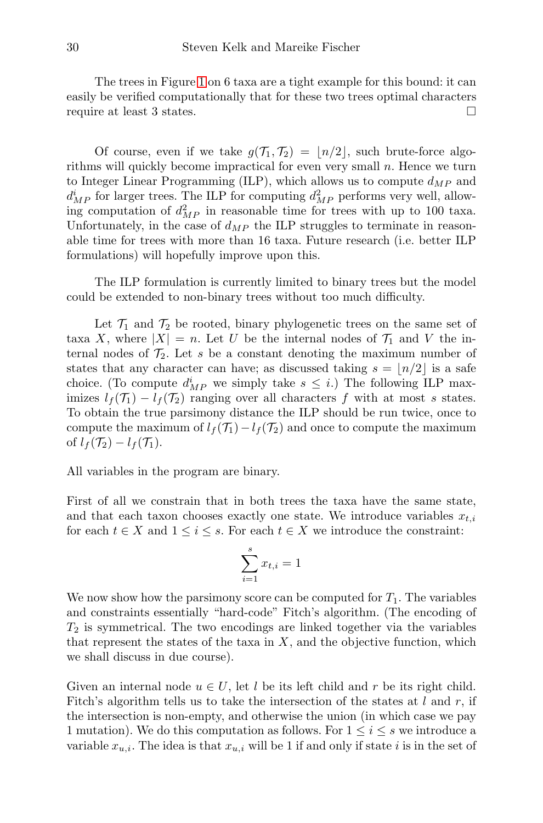The trees in Figure [1](#page-5-0) on 6 taxa are a tight example for this bound: it can easily be verified computationally that for these two trees optimal characters require at least 3 states.

Of course, even if we take  $g(\mathcal{T}_1, \mathcal{T}_2) = |n/2|$ , such brute-force algorithms will quickly become impractical for even very small  $n$ . Hence we turn to Integer Linear Programming (ILP), which allows us to compute  $d_{MP}$  and  $d_{MP}^i$  for larger trees. The ILP for computing  $d_{MP}^2$  performs very well, allowing computation of  $d_{MP}^2$  in reasonable time for trees with up to 100 taxa. Unfortunately, in the case of  $d_{MP}$  the ILP struggles to terminate in reasonable time for trees with more than 16 taxa. Future research (i.e. better ILP formulations) will hopefully improve upon this.

The ILP formulation is currently limited to binary trees but the model could be extended to non-binary trees without too much difficulty.

Let  $\mathcal{T}_1$  and  $\mathcal{T}_2$  be rooted, binary phylogenetic trees on the same set of taxa X, where  $|X| = n$ . Let U be the internal nodes of  $\mathcal{T}_1$  and V the internal nodes of  $\mathcal{T}_2$ . Let s be a constant denoting the maximum number of states that any character can have; as discussed taking  $s = \lfloor n/2 \rfloor$  is a safe choice. (To compute  $d_{MP}^i$  we simply take  $s \leq i$ .) The following ILP maximizes  $l_f(\mathcal{T}_1) - l_f(\mathcal{T}_2)$  ranging over all characters f with at most s states. To obtain the true parsimony distance the ILP should be run twice, once to compute the maximum of  $l_f(\mathcal{T}_1)-l_f(\mathcal{T}_2)$  and once to compute the maximum of  $l_f(\mathcal{T}_2) - l_f(\mathcal{T}_1)$ .

All variables in the program are binary.

First of all we constrain that in both trees the taxa have the same state, and that each taxon chooses exactly one state. We introduce variables  $x_{t,i}$ for each  $t \in X$  and  $1 \leq i \leq s$ . For each  $t \in X$  we introduce the constraint:

$$
\sum_{i=1}^{s} x_{t,i} = 1
$$

We now show how the parsimony score can be computed for  $T_1$ . The variables and constraints essentially "hard-code" Fitch's algorithm. (The encoding of  $T_2$  is symmetrical. The two encodings are linked together via the variables that represent the states of the taxa in  $X$ , and the objective function, which we shall discuss in due course).

Given an internal node  $u \in U$ , let l be its left child and r be its right child. Fitch's algorithm tells us to take the intersection of the states at  $l$  and  $r$ , if the intersection is non-empty, and otherwise the union (in which case we pay 1 mutation). We do this computation as follows. For  $1 \leq i \leq s$  we introduce a variable  $x_{u,i}$ . The idea is that  $x_{u,i}$  will be 1 if and only if state i is in the set of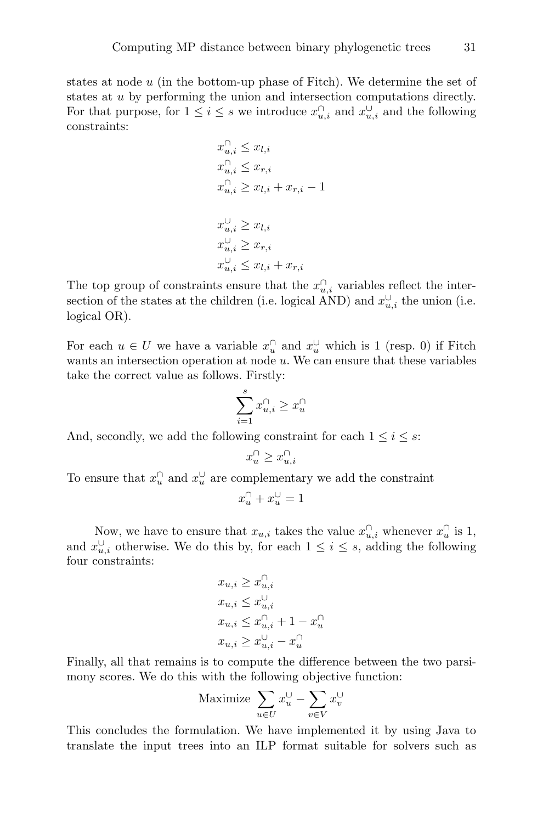states at node  $u$  (in the bottom-up phase of Fitch). We determine the set of states at u by performing the union and intersection computations directly. For that purpose, for  $1 \leq i \leq s$  we introduce  $x_{u,i}^{\cap}$  and  $x_{u,i}^{\cup}$  and the following constraints:

$$
x_{u,i}^{\cap} \leq x_{l,i} \n x_{u,i}^{\cap} \leq x_{r,i} \n x_{u,i}^{\cap} \geq x_{l,i} + x_{r,i} - 1 \n x_{u,i}^{\cup} \geq x_{l,i} \n x_{u,i}^{\cup} \geq x_{r,i} \n x_{u,i}^{\cup} \leq x_{l,i} + x_{r,i}
$$

The top group of constraints ensure that the  $x_{u,i}^{\cap}$  variables reflect the intersection of the states at the children (i.e. logical AND) and  $x_{u,i}^{\cup}$  the union (i.e. logical OR).

For each  $u \in U$  we have a variable  $x_u^{\cap}$  and  $x_u^{\cup}$  which is 1 (resp. 0) if Fitch wants an intersection operation at node  $u$ . We can ensure that these variables take the correct value as follows. Firstly:

$$
\sum_{i=1}^s x_{u,i}^\cap \geq x_u^\cap
$$

And, secondly, we add the following constraint for each  $1 \leq i \leq s$ :

$$
x^\cap_u \geq x^\cap_{u,i}
$$

To ensure that  $x_u^{\cap}$  and  $x_u^{\cup}$  are complementary we add the constraint

$$
x^\cap_u+x^\cup_u=1
$$

Now, we have to ensure that  $x_{u,i}$  takes the value  $x_{u,i}^{\cap}$  whenever  $x_u^{\cap}$  is 1, and  $x_{u,i}^{\cup}$  otherwise. We do this by, for each  $1 \leq i \leq s$ , adding the following four constraints:

$$
\begin{aligned} x_{u,i} &\geq x_{u,i}^{\cap} \\ x_{u,i} &\leq x_{u,i}^{\cup} \\ x_{u,i} &\leq x_{u,i}^{\cap} + 1 - x_{u}^{\cap} \\ x_{u,i} &\geq x_{u,i}^{\cup} - x_{u}^{\cap} \end{aligned}
$$

Finally, all that remains is to compute the difference between the two parsimony scores. We do this with the following objective function:

$$
\text{Maximize } \sum_{u \in U} x_u^\cup - \sum_{v \in V} x_v^\cup
$$

This concludes the formulation. We have implemented it by using Java to translate the input trees into an ILP format suitable for solvers such as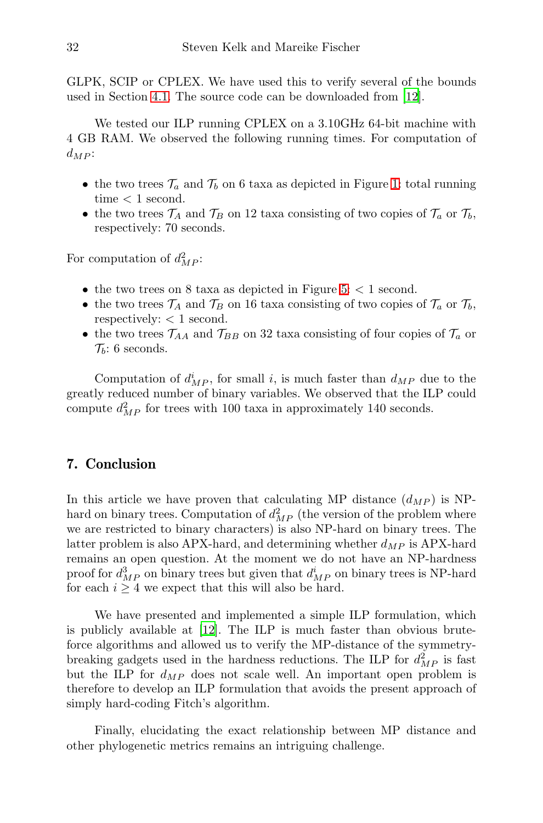GLPK, SCIP or CPLEX. We have used this to verify several of the bounds used in Section [4.1.](#page-5-2) The source code can be downloaded from [\[12\]](#page-36-4).

We tested our ILP running CPLEX on a 3.10GHz 64-bit machine with 4 GB RAM. We observed the following running times. For computation of  $d_{MP}$ :

- the two trees  $\mathcal{T}_a$  and  $\mathcal{T}_b$  on 6 taxa as depicted in Figure [1:](#page-5-0) total running  $time < 1$  second.
- the two trees  $\mathcal{T}_A$  and  $\mathcal{T}_B$  on 12 taxa consisting of two copies of  $\mathcal{T}_a$  or  $\mathcal{T}_b$ , respectively: 70 seconds.

For computation of  $d_{MP}^2$ :

- the two trees on 8 taxa as depicted in Figure [5:](#page-18-0)  $<$  1 second.
- the two trees  $\mathcal{T}_A$  and  $\mathcal{T}_B$  on 16 taxa consisting of two copies of  $\mathcal{T}_a$  or  $\mathcal{T}_b$ , respectively:  $<$  1 second.
- the two trees  $\mathcal{T}_{AA}$  and  $\mathcal{T}_{BB}$  on 32 taxa consisting of four copies of  $\mathcal{T}_a$  or  $\mathcal{T}_b$ : 6 seconds.

Computation of  $d_{MP}^i$ , for small i, is much faster than  $d_{MP}$  due to the greatly reduced number of binary variables. We observed that the ILP could compute  $d_{MP}^2$  for trees with 100 taxa in approximately 140 seconds.

### 7. Conclusion

In this article we have proven that calculating MP distance  $(d_{MP})$  is NPhard on binary trees. Computation of  $d_{MP}^2$  (the version of the problem where we are restricted to binary characters) is also NP-hard on binary trees. The latter problem is also APX-hard, and determining whether  $d_{MP}$  is APX-hard remains an open question. At the moment we do not have an NP-hardness proof for  $d_{MP}^3$  on binary trees but given that  $d_{MP}^i$  on binary trees is NP-hard for each  $i \geq 4$  we expect that this will also be hard.

We have presented and implemented a simple ILP formulation, which is publicly available at [\[12\]](#page-36-4). The ILP is much faster than obvious bruteforce algorithms and allowed us to verify the MP-distance of the symmetrybreaking gadgets used in the hardness reductions. The ILP for  $d_{MP}^2$  is fast but the ILP for  $d_{MP}$  does not scale well. An important open problem is therefore to develop an ILP formulation that avoids the present approach of simply hard-coding Fitch's algorithm.

Finally, elucidating the exact relationship between MP distance and other phylogenetic metrics remains an intriguing challenge.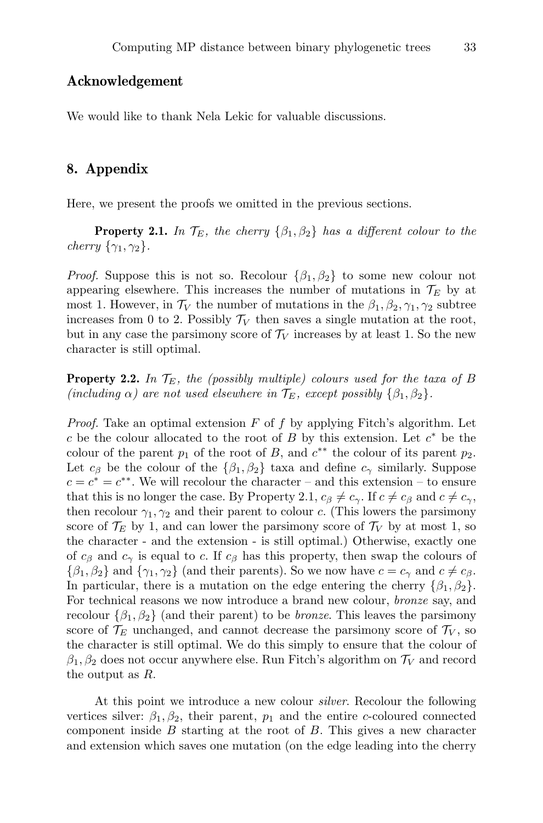#### Acknowledgement

We would like to thank Nela Lekic for valuable discussions.

#### 8. Appendix

Here, we present the proofs we omitted in the previous sections.

**Property 2.1.** In  $\mathcal{T}_E$ , the cherry  $\{\beta_1, \beta_2\}$  has a different colour to the cherry  $\{\gamma_1, \gamma_2\}$ .

*Proof.* Suppose this is not so. Recolour  $\{\beta_1, \beta_2\}$  to some new colour not appearing elsewhere. This increases the number of mutations in  $\mathcal{T}_E$  by at most 1. However, in  $\mathcal{T}_V$  the number of mutations in the  $\beta_1, \beta_2, \gamma_1, \gamma_2$  subtree increases from 0 to 2. Possibly  $\mathcal{T}_V$  then saves a single mutation at the root, but in any case the parsimony score of  $\mathcal{T}_V$  increases by at least 1. So the new character is still optimal.

**Property 2.2.** In  $\mathcal{T}_E$ , the (possibly multiple) colours used for the taxa of B (including  $\alpha$ ) are not used elsewhere in  $\mathcal{T}_E$ , except possibly  $\{\beta_1, \beta_2\}$ .

*Proof.* Take an optimal extension  $F$  of  $f$  by applying Fitch's algorithm. Let c be the colour allocated to the root of  $B$  by this extension. Let  $c^*$  be the colour of the parent  $p_1$  of the root of B, and  $c^{**}$  the colour of its parent  $p_2$ . Let  $c_{\beta}$  be the colour of the  $\{\beta_1,\beta_2\}$  taxa and define  $c_{\gamma}$  similarly. Suppose  $c = c^* = c^{**}$ . We will recolour the character – and this extension – to ensure that this is no longer the case. By Property 2.1,  $c_{\beta} \neq c_{\gamma}$ . If  $c \neq c_{\beta}$  and  $c \neq c_{\gamma}$ , then recolour  $\gamma_1, \gamma_2$  and their parent to colour c. (This lowers the parsimony score of  $\mathcal{T}_E$  by 1, and can lower the parsimony score of  $\mathcal{T}_V$  by at most 1, so the character - and the extension - is still optimal.) Otherwise, exactly one of  $c_{\beta}$  and  $c_{\gamma}$  is equal to c. If  $c_{\beta}$  has this property, then swap the colours of  $\{\beta_1, \beta_2\}$  and  $\{\gamma_1, \gamma_2\}$  (and their parents). So we now have  $c = c_\gamma$  and  $c \neq c_\beta$ . In particular, there is a mutation on the edge entering the cherry  $\{\beta_1, \beta_2\}$ . For technical reasons we now introduce a brand new colour, bronze say, and recolour  $\{\beta_1, \beta_2\}$  (and their parent) to be *bronze*. This leaves the parsimony score of  $\mathcal{T}_E$  unchanged, and cannot decrease the parsimony score of  $\mathcal{T}_V$ , so the character is still optimal. We do this simply to ensure that the colour of  $\beta_1, \beta_2$  does not occur anywhere else. Run Fitch's algorithm on  $\mathcal{T}_V$  and record the output as R.

At this point we introduce a new colour *silver*. Recolour the following vertices silver:  $\beta_1, \beta_2$ , their parent,  $p_1$  and the entire c-coloured connected component inside  $B$  starting at the root of  $B$ . This gives a new character and extension which saves one mutation (on the edge leading into the cherry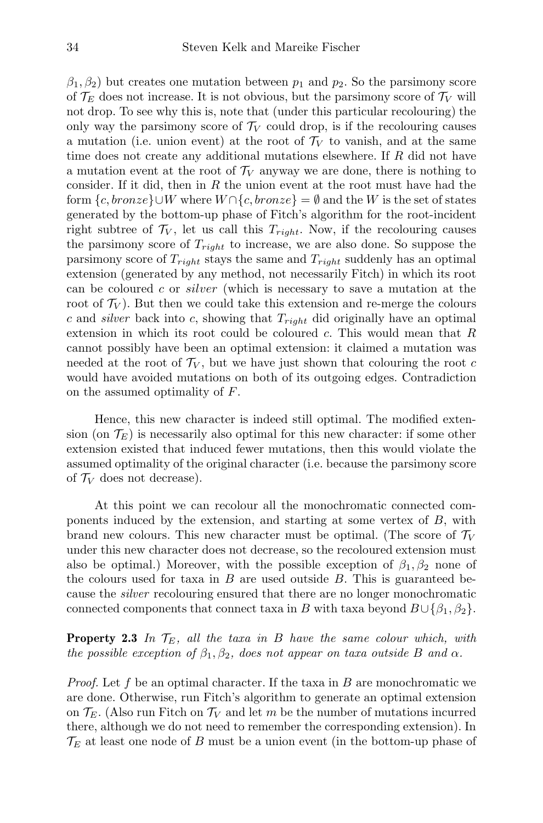$\beta_1, \beta_2$ ) but creates one mutation between  $p_1$  and  $p_2$ . So the parsimony score of  $\mathcal{T}_E$  does not increase. It is not obvious, but the parsimony score of  $\mathcal{T}_V$  will not drop. To see why this is, note that (under this particular recolouring) the only way the parsimony score of  $\mathcal{T}_V$  could drop, is if the recolouring causes a mutation (i.e. union event) at the root of  $\mathcal{T}_V$  to vanish, and at the same time does not create any additional mutations elsewhere. If R did not have a mutation event at the root of  $\mathcal{T}_V$  anyway we are done, there is nothing to consider. If it did, then in  $R$  the union event at the root must have had the form  $\{c, bronze\} \cup W$  where  $W \cap \{c, bronze\} = \emptyset$  and the W is the set of states generated by the bottom-up phase of Fitch's algorithm for the root-incident right subtree of  $\mathcal{T}_V$ , let us call this  $T_{right}$ . Now, if the recolouring causes the parsimony score of  $T_{right}$  to increase, we are also done. So suppose the parsimony score of  $T_{right}$  stays the same and  $T_{right}$  suddenly has an optimal extension (generated by any method, not necessarily Fitch) in which its root can be coloured c or silver (which is necessary to save a mutation at the root of  $\mathcal{T}_V$ ). But then we could take this extension and re-merge the colours c and silver back into c, showing that  $T_{right}$  did originally have an optimal extension in which its root could be coloured  $c$ . This would mean that  $R$ cannot possibly have been an optimal extension: it claimed a mutation was needed at the root of  $\mathcal{T}_V$ , but we have just shown that colouring the root c would have avoided mutations on both of its outgoing edges. Contradiction on the assumed optimality of F.

Hence, this new character is indeed still optimal. The modified extension (on  $\mathcal{T}_E$ ) is necessarily also optimal for this new character: if some other extension existed that induced fewer mutations, then this would violate the assumed optimality of the original character (i.e. because the parsimony score of  $\mathcal{T}_V$  does not decrease).

At this point we can recolour all the monochromatic connected components induced by the extension, and starting at some vertex of  $B$ , with brand new colours. This new character must be optimal. (The score of  $\mathcal{T}_V$ under this new character does not decrease, so the recoloured extension must also be optimal.) Moreover, with the possible exception of  $\beta_1, \beta_2$  none of the colours used for taxa in  $B$  are used outside  $B$ . This is guaranteed because the silver recolouring ensured that there are no longer monochromatic connected components that connect taxa in B with taxa beyond  $B\cup \{\beta_1,\beta_2\}.$ 

**Property 2.3** In  $\mathcal{T}_E$ , all the taxa in B have the same colour which, with the possible exception of  $\beta_1, \beta_2$ , does not appear on taxa outside B and  $\alpha$ .

*Proof.* Let f be an optimal character. If the taxa in B are monochromatic we are done. Otherwise, run Fitch's algorithm to generate an optimal extension on  $\mathcal{T}_E$ . (Also run Fitch on  $\mathcal{T}_V$  and let m be the number of mutations incurred there, although we do not need to remember the corresponding extension). In  $\mathcal{T}_E$  at least one node of B must be a union event (in the bottom-up phase of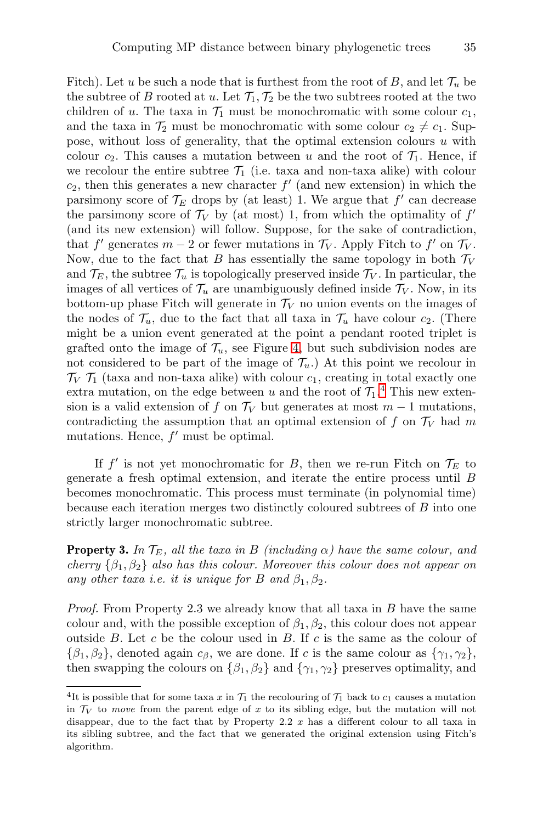Fitch). Let u be such a node that is furthest from the root of B, and let  $\mathcal{T}_u$  be the subtree of B rooted at u. Let  $\mathcal{T}_1, \mathcal{T}_2$  be the two subtrees rooted at the two children of u. The taxa in  $\mathcal{T}_1$  must be monochromatic with some colour  $c_1$ , and the taxa in  $\mathcal{T}_2$  must be monochromatic with some colour  $c_2 \neq c_1$ . Suppose, without loss of generality, that the optimal extension colours  $u$  with colour  $c_2$ . This causes a mutation between u and the root of  $\mathcal{T}_1$ . Hence, if we recolour the entire subtree  $\mathcal{T}_1$  (i.e. taxa and non-taxa alike) with colour  $c_2$ , then this generates a new character  $f'$  (and new extension) in which the parsimony score of  $\mathcal{T}_E$  drops by (at least) 1. We argue that  $f'$  can decrease the parsimony score of  $\mathcal{T}_V$  by (at most) 1, from which the optimality of  $f'$ (and its new extension) will follow. Suppose, for the sake of contradiction, that  $f'$  generates  $m-2$  or fewer mutations in  $\mathcal{T}_V$ . Apply Fitch to  $f'$  on  $\mathcal{T}_V$ . Now, due to the fact that B has essentially the same topology in both  $\mathcal{T}_V$ and  $\mathcal{T}_E$ , the subtree  $\mathcal{T}_u$  is topologically preserved inside  $\mathcal{T}_V$ . In particular, the images of all vertices of  $\mathcal{T}_u$  are unambiguously defined inside  $\mathcal{T}_V$ . Now, in its bottom-up phase Fitch will generate in  $\mathcal{T}_V$  no union events on the images of the nodes of  $\mathcal{T}_u$ , due to the fact that all taxa in  $\mathcal{T}_u$  have colour  $c_2$ . (There might be a union event generated at the point a pendant rooted triplet is grafted onto the image of  $\mathcal{T}_u$ , see Figure [4,](#page-12-0) but such subdivision nodes are not considered to be part of the image of  $\mathcal{T}_u$ .) At this point we recolour in  $\mathcal{T}_V$   $\mathcal{T}_1$  (taxa and non-taxa alike) with colour  $c_1$ , creating in total exactly one extra mutation, on the edge between u and the root of  $\mathcal{T}_1$ .<sup>[4](#page-34-0)</sup> This new extension is a valid extension of f on  $\mathcal{T}_V$  but generates at most  $m-1$  mutations, contradicting the assumption that an optimal extension of f on  $\mathcal{T}_V$  had m mutations. Hence,  $f'$  must be optimal.

If  $f'$  is not yet monochromatic for B, then we re-run Fitch on  $\mathcal{T}_E$  to generate a fresh optimal extension, and iterate the entire process until B becomes monochromatic. This process must terminate (in polynomial time) because each iteration merges two distinctly coloured subtrees of B into one strictly larger monochromatic subtree.

**Property 3.** In  $\mathcal{T}_E$ , all the taxa in B (including  $\alpha$ ) have the same colour, and cherry  $\{\beta_1, \beta_2\}$  also has this colour. Moreover this colour does not appear on any other taxa i.e. it is unique for B and  $\beta_1, \beta_2$ .

*Proof.* From Property 2.3 we already know that all taxa in  $B$  have the same colour and, with the possible exception of  $\beta_1, \beta_2$ , this colour does not appear outside B. Let c be the colour used in B. If c is the same as the colour of  $\{\beta_1,\beta_2\}$ , denoted again  $c_\beta$ , we are done. If c is the same colour as  $\{\gamma_1,\gamma_2\}$ , then swapping the colours on  $\{\beta_1, \beta_2\}$  and  $\{\gamma_1, \gamma_2\}$  preserves optimality, and

<span id="page-34-0"></span><sup>&</sup>lt;sup>4</sup>It is possible that for some taxa x in  $\mathcal{T}_1$  the recolouring of  $\mathcal{T}_1$  back to  $c_1$  causes a mutation in  $\mathcal{T}_V$  to move from the parent edge of x to its sibling edge, but the mutation will not disappear, due to the fact that by Property 2.2  $x$  has a different colour to all taxa in its sibling subtree, and the fact that we generated the original extension using Fitch's algorithm.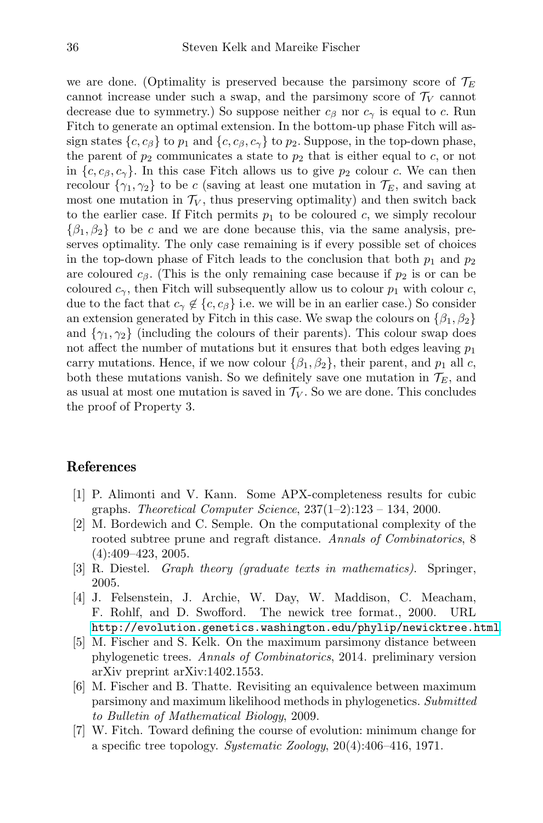we are done. (Optimality is preserved because the parsimony score of  $\mathcal{T}_E$ cannot increase under such a swap, and the parsimony score of  $\mathcal{T}_V$  cannot decrease due to symmetry.) So suppose neither  $c_{\beta}$  nor  $c_{\gamma}$  is equal to c. Run Fitch to generate an optimal extension. In the bottom-up phase Fitch will assign states  $\{c, c_{\beta}\}\$  to  $p_1$  and  $\{c, c_{\beta}, c_{\gamma}\}\$  to  $p_2$ . Suppose, in the top-down phase, the parent of  $p_2$  communicates a state to  $p_2$  that is either equal to c, or not in  $\{c, c_\beta, c_\gamma\}$ . In this case Fitch allows us to give  $p_2$  colour c. We can then recolour  $\{\gamma_1, \gamma_2\}$  to be c (saving at least one mutation in  $\mathcal{T}_E$ , and saving at most one mutation in  $\mathcal{T}_V$ , thus preserving optimality) and then switch back to the earlier case. If Fitch permits  $p_1$  to be coloured c, we simply recolour  $\{\beta_1,\beta_2\}$  to be c and we are done because this, via the same analysis, preserves optimality. The only case remaining is if every possible set of choices in the top-down phase of Fitch leads to the conclusion that both  $p_1$  and  $p_2$ are coloured  $c_{\beta}$ . (This is the only remaining case because if  $p_2$  is or can be coloured  $c_{\gamma}$ , then Fitch will subsequently allow us to colour  $p_1$  with colour c, due to the fact that  $c_{\gamma} \notin \{c, c_{\beta}\}\$ i.e. we will be in an earlier case.) So consider an extension generated by Fitch in this case. We swap the colours on  $\{\beta_1, \beta_2\}$ and  $\{\gamma_1, \gamma_2\}$  (including the colours of their parents). This colour swap does not affect the number of mutations but it ensures that both edges leaving  $p_1$ carry mutations. Hence, if we now colour  $\{\beta_1, \beta_2\}$ , their parent, and  $p_1$  all c, both these mutations vanish. So we definitely save one mutation in  $\mathcal{T}_E$ , and as usual at most one mutation is saved in  $\mathcal{T}_V$ . So we are done. This concludes the proof of Property 3.

#### References

- <span id="page-35-6"></span>[1] P. Alimonti and V. Kann. Some APX-completeness results for cubic graphs. Theoretical Computer Science,  $237(1-2):123-134$ , 2000.
- <span id="page-35-4"></span>[2] M. Bordewich and C. Semple. On the computational complexity of the rooted subtree prune and regraft distance. Annals of Combinatorics, 8 (4):409–423, 2005.
- <span id="page-35-5"></span>[3] R. Diestel. Graph theory (graduate texts in mathematics). Springer, 2005.
- <span id="page-35-2"></span>[4] J. Felsenstein, J. Archie, W. Day, W. Maddison, C. Meacham, F. Rohlf, and D. Swofford. The newick tree format., 2000. URL <http://evolution.genetics.washington.edu/phylip/newicktree.html>.
- <span id="page-35-1"></span>[5] M. Fischer and S. Kelk. On the maximum parsimony distance between phylogenetic trees. Annals of Combinatorics, 2014. preliminary version arXiv preprint arXiv:1402.1553.
- <span id="page-35-0"></span>[6] M. Fischer and B. Thatte. Revisiting an equivalence between maximum parsimony and maximum likelihood methods in phylogenetics. Submitted to Bulletin of Mathematical Biology, 2009.
- <span id="page-35-3"></span>[7] W. Fitch. Toward defining the course of evolution: minimum change for a specific tree topology. Systematic Zoology,  $20(4):406-416$ , 1971.